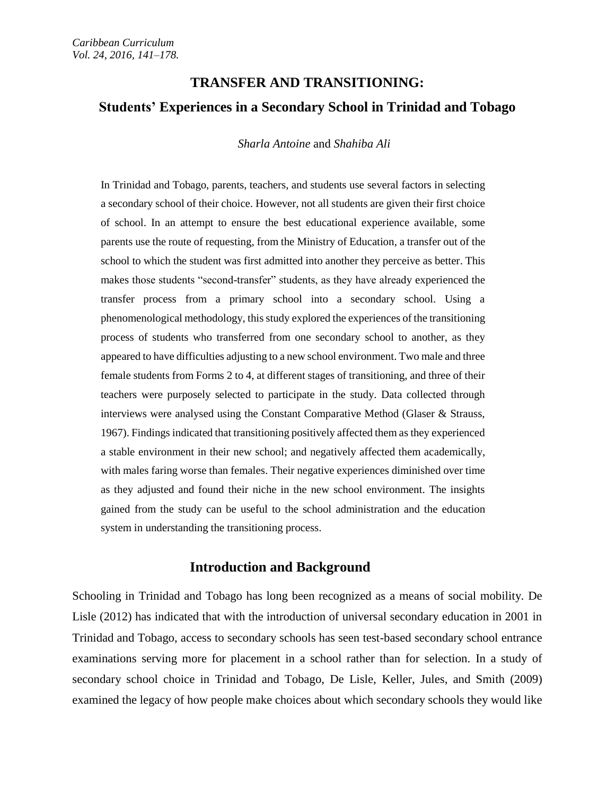# **TRANSFER AND TRANSITIONING: Students' Experiences in a Secondary School in Trinidad and Tobago**

*Sharla Antoine* and *Shahiba Ali*

In Trinidad and Tobago, parents, teachers, and students use several factors in selecting a secondary school of their choice. However, not all students are given their first choice of school. In an attempt to ensure the best educational experience available, some parents use the route of requesting, from the Ministry of Education, a transfer out of the school to which the student was first admitted into another they perceive as better. This makes those students "second-transfer" students, as they have already experienced the transfer process from a primary school into a secondary school. Using a phenomenological methodology, this study explored the experiences of the transitioning process of students who transferred from one secondary school to another, as they appeared to have difficulties adjusting to a new school environment. Two male and three female students from Forms 2 to 4, at different stages of transitioning, and three of their teachers were purposely selected to participate in the study. Data collected through interviews were analysed using the Constant Comparative Method (Glaser & Strauss, 1967). Findings indicated that transitioning positively affected them as they experienced a stable environment in their new school; and negatively affected them academically, with males faring worse than females. Their negative experiences diminished over time as they adjusted and found their niche in the new school environment. The insights gained from the study can be useful to the school administration and the education system in understanding the transitioning process.

# **Introduction and Background**

Schooling in Trinidad and Tobago has long been recognized as a means of social mobility. De Lisle (2012) has indicated that with the introduction of universal secondary education in 2001 in Trinidad and Tobago, access to secondary schools has seen test-based secondary school entrance examinations serving more for placement in a school rather than for selection. In a study of secondary school choice in Trinidad and Tobago, De Lisle, Keller, Jules, and Smith (2009) examined the legacy of how people make choices about which secondary schools they would like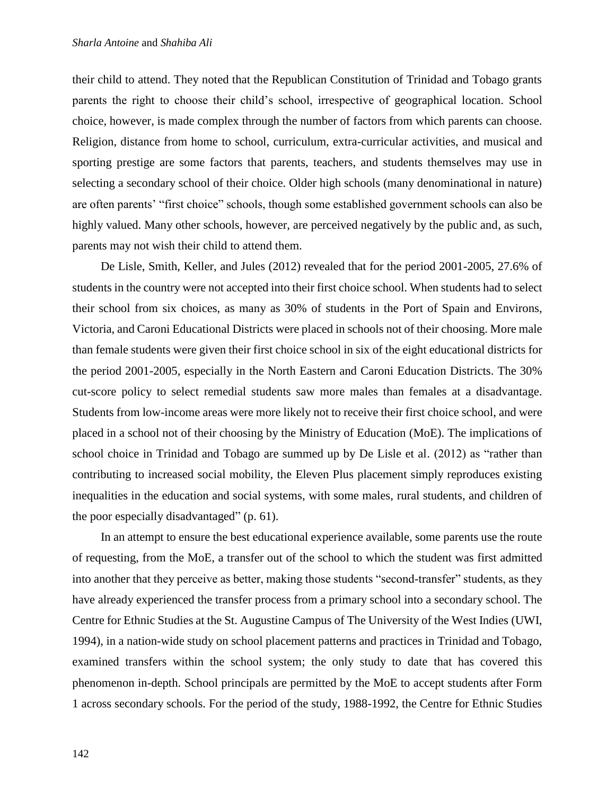their child to attend. They noted that the Republican Constitution of Trinidad and Tobago grants parents the right to choose their child's school, irrespective of geographical location. School choice, however, is made complex through the number of factors from which parents can choose. Religion, distance from home to school, curriculum, extra-curricular activities, and musical and sporting prestige are some factors that parents, teachers, and students themselves may use in selecting a secondary school of their choice. Older high schools (many denominational in nature) are often parents' "first choice" schools, though some established government schools can also be highly valued. Many other schools, however, are perceived negatively by the public and, as such, parents may not wish their child to attend them.

De Lisle, Smith, Keller, and Jules (2012) revealed that for the period 2001-2005, 27.6% of students in the country were not accepted into their first choice school. When students had to select their school from six choices, as many as 30% of students in the Port of Spain and Environs, Victoria, and Caroni Educational Districts were placed in schools not of their choosing. More male than female students were given their first choice school in six of the eight educational districts for the period 2001-2005, especially in the North Eastern and Caroni Education Districts. The 30% cut-score policy to select remedial students saw more males than females at a disadvantage. Students from low-income areas were more likely not to receive their first choice school, and were placed in a school not of their choosing by the Ministry of Education (MoE). The implications of school choice in Trinidad and Tobago are summed up by De Lisle et al. (2012) as "rather than contributing to increased social mobility, the Eleven Plus placement simply reproduces existing inequalities in the education and social systems, with some males, rural students, and children of the poor especially disadvantaged" (p. 61).

In an attempt to ensure the best educational experience available, some parents use the route of requesting, from the MoE, a transfer out of the school to which the student was first admitted into another that they perceive as better, making those students "second-transfer" students, as they have already experienced the transfer process from a primary school into a secondary school. The Centre for Ethnic Studies at the St. Augustine Campus of The University of the West Indies (UWI, 1994), in a nation-wide study on school placement patterns and practices in Trinidad and Tobago, examined transfers within the school system; the only study to date that has covered this phenomenon in-depth. School principals are permitted by the MoE to accept students after Form 1 across secondary schools. For the period of the study, 1988-1992, the Centre for Ethnic Studies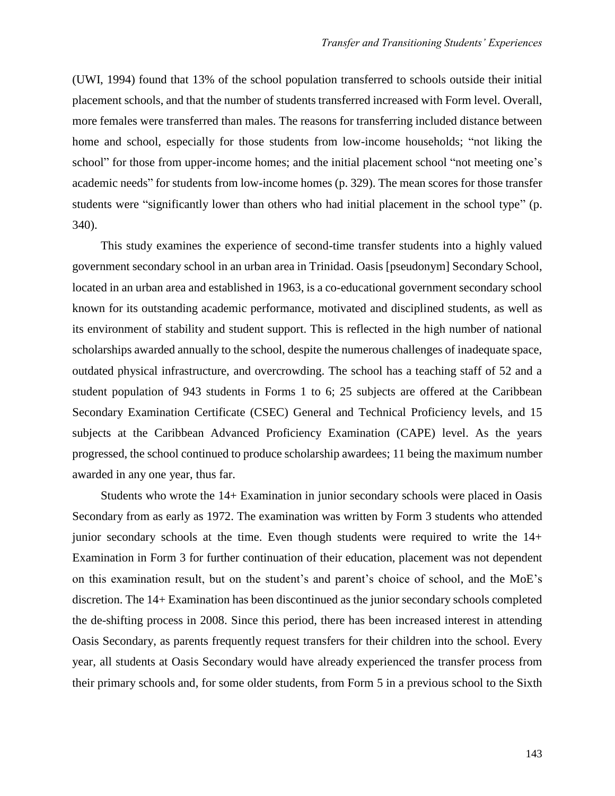(UWI, 1994) found that 13% of the school population transferred to schools outside their initial placement schools, and that the number of students transferred increased with Form level. Overall, more females were transferred than males. The reasons for transferring included distance between home and school, especially for those students from low-income households; "not liking the school" for those from upper-income homes; and the initial placement school "not meeting one's academic needs" for students from low-income homes (p. 329). The mean scores for those transfer students were "significantly lower than others who had initial placement in the school type" (p. 340).

This study examines the experience of second-time transfer students into a highly valued government secondary school in an urban area in Trinidad. Oasis [pseudonym] Secondary School, located in an urban area and established in 1963, is a co-educational government secondary school known for its outstanding academic performance, motivated and disciplined students, as well as its environment of stability and student support. This is reflected in the high number of national scholarships awarded annually to the school, despite the numerous challenges of inadequate space, outdated physical infrastructure, and overcrowding. The school has a teaching staff of 52 and a student population of 943 students in Forms 1 to 6; 25 subjects are offered at the Caribbean Secondary Examination Certificate (CSEC) General and Technical Proficiency levels, and 15 subjects at the Caribbean Advanced Proficiency Examination (CAPE) level. As the years progressed, the school continued to produce scholarship awardees; 11 being the maximum number awarded in any one year, thus far.

Students who wrote the 14+ Examination in junior secondary schools were placed in Oasis Secondary from as early as 1972. The examination was written by Form 3 students who attended junior secondary schools at the time. Even though students were required to write the 14+ Examination in Form 3 for further continuation of their education, placement was not dependent on this examination result, but on the student's and parent's choice of school, and the MoE's discretion. The 14+ Examination has been discontinued as the junior secondary schools completed the de-shifting process in 2008. Since this period, there has been increased interest in attending Oasis Secondary, as parents frequently request transfers for their children into the school. Every year, all students at Oasis Secondary would have already experienced the transfer process from their primary schools and, for some older students, from Form 5 in a previous school to the Sixth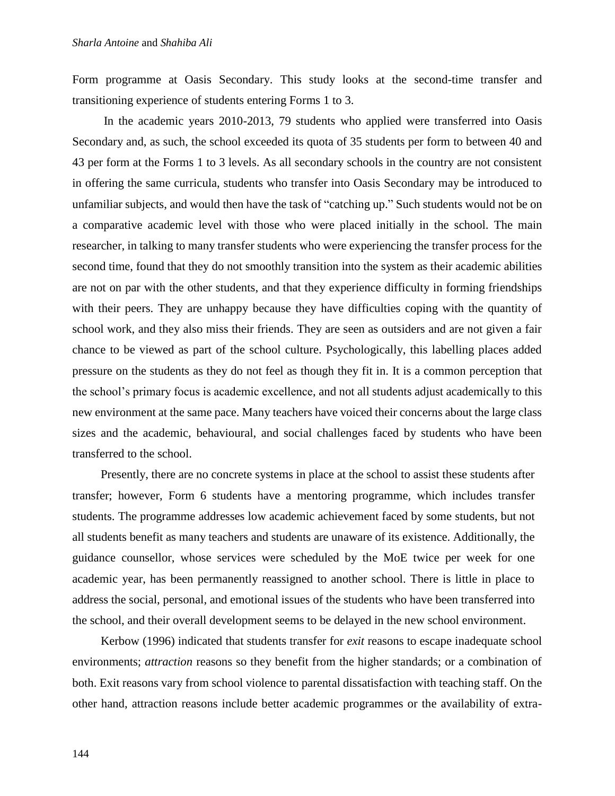Form programme at Oasis Secondary. This study looks at the second-time transfer and transitioning experience of students entering Forms 1 to 3.

In the academic years 2010-2013, 79 students who applied were transferred into Oasis Secondary and, as such, the school exceeded its quota of 35 students per form to between 40 and 43 per form at the Forms 1 to 3 levels. As all secondary schools in the country are not consistent in offering the same curricula, students who transfer into Oasis Secondary may be introduced to unfamiliar subjects, and would then have the task of "catching up." Such students would not be on a comparative academic level with those who were placed initially in the school. The main researcher, in talking to many transfer students who were experiencing the transfer process for the second time, found that they do not smoothly transition into the system as their academic abilities are not on par with the other students, and that they experience difficulty in forming friendships with their peers. They are unhappy because they have difficulties coping with the quantity of school work, and they also miss their friends. They are seen as outsiders and are not given a fair chance to be viewed as part of the school culture. Psychologically, this labelling places added pressure on the students as they do not feel as though they fit in. It is a common perception that the school's primary focus is academic excellence, and not all students adjust academically to this new environment at the same pace. Many teachers have voiced their concerns about the large class sizes and the academic, behavioural, and social challenges faced by students who have been transferred to the school.

Presently, there are no concrete systems in place at the school to assist these students after transfer; however, Form 6 students have a mentoring programme, which includes transfer students. The programme addresses low academic achievement faced by some students, but not all students benefit as many teachers and students are unaware of its existence. Additionally, the guidance counsellor, whose services were scheduled by the MoE twice per week for one academic year, has been permanently reassigned to another school. There is little in place to address the social, personal, and emotional issues of the students who have been transferred into the school, and their overall development seems to be delayed in the new school environment.

Kerbow (1996) indicated that students transfer for *exit* reasons to escape inadequate school environments; *attraction* reasons so they benefit from the higher standards; or a combination of both. Exit reasons vary from school violence to parental dissatisfaction with teaching staff. On the other hand, attraction reasons include better academic programmes or the availability of extra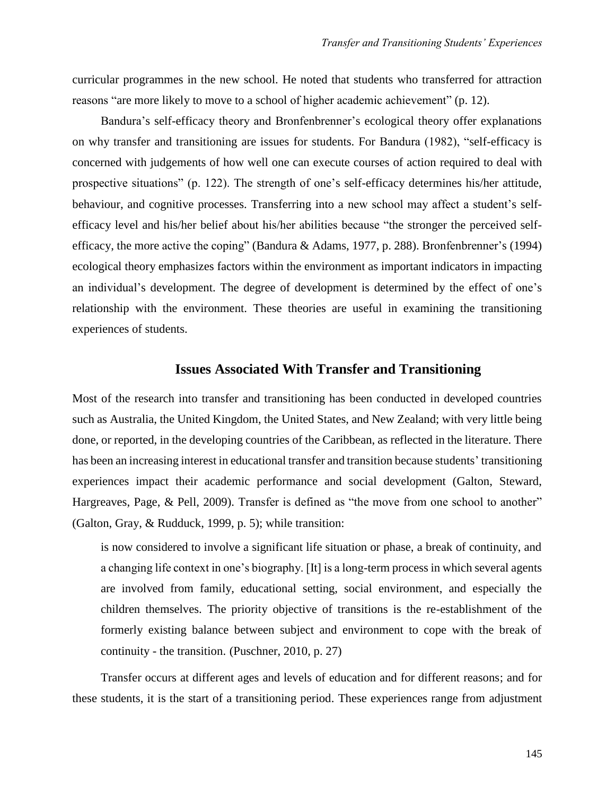curricular programmes in the new school. He noted that students who transferred for attraction reasons "are more likely to move to a school of higher academic achievement" (p. 12).

Bandura's self-efficacy theory and Bronfenbrenner's ecological theory offer explanations on why transfer and transitioning are issues for students. For Bandura (1982), "self-efficacy is concerned with judgements of how well one can execute courses of action required to deal with prospective situations" (p. 122). The strength of one's self-efficacy determines his/her attitude, behaviour, and cognitive processes. Transferring into a new school may affect a student's selfefficacy level and his/her belief about his/her abilities because "the stronger the perceived selfefficacy, the more active the coping" (Bandura & Adams, 1977, p. 288). Bronfenbrenner's (1994) ecological theory emphasizes factors within the environment as important indicators in impacting an individual's development. The degree of development is determined by the effect of one's relationship with the environment. These theories are useful in examining the transitioning experiences of students.

## **Issues Associated With Transfer and Transitioning**

Most of the research into transfer and transitioning has been conducted in developed countries such as Australia, the United Kingdom, the United States, and New Zealand; with very little being done, or reported, in the developing countries of the Caribbean, as reflected in the literature. There has been an increasing interest in educational transfer and transition because students' transitioning experiences impact their academic performance and social development (Galton, Steward, Hargreaves, Page, & Pell, 2009). Transfer is defined as "the move from one school to another" (Galton, Gray, & Rudduck, 1999, p. 5); while transition:

is now considered to involve a significant life situation or phase, a break of continuity, and a changing life context in one's biography. [It] is a long-term process in which several agents are involved from family, educational setting, social environment, and especially the children themselves. The priority objective of transitions is the re-establishment of the formerly existing balance between subject and environment to cope with the break of continuity - the transition. (Puschner, 2010, p. 27)

Transfer occurs at different ages and levels of education and for different reasons; and for these students, it is the start of a transitioning period. These experiences range from adjustment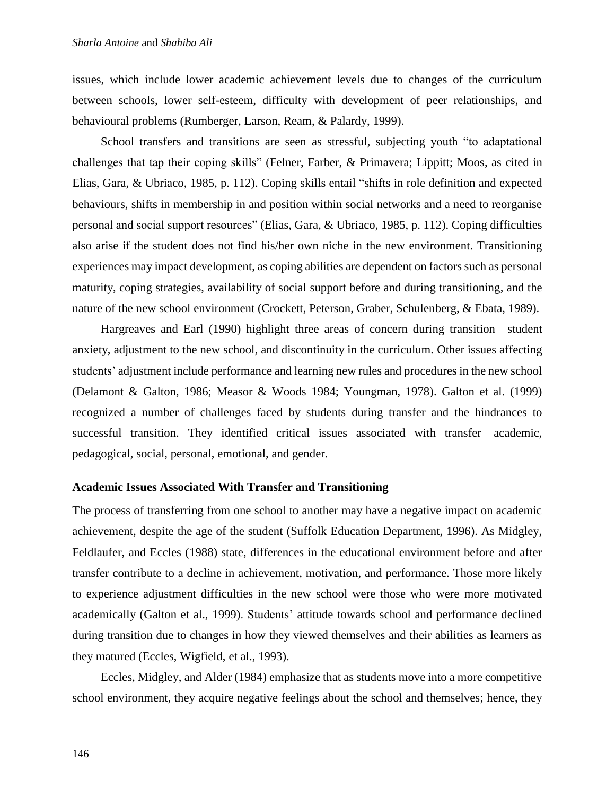issues, which include lower academic achievement levels due to changes of the curriculum between schools, lower self-esteem, difficulty with development of peer relationships, and behavioural problems (Rumberger, Larson, Ream, & Palardy, 1999).

School transfers and transitions are seen as stressful, subjecting youth "to adaptational challenges that tap their coping skills" (Felner, Farber, & Primavera; Lippitt; Moos, as cited in Elias, Gara, & Ubriaco, 1985, p. 112). Coping skills entail "shifts in role definition and expected behaviours, shifts in membership in and position within social networks and a need to reorganise personal and social support resources" (Elias, Gara, & Ubriaco, 1985, p. 112). Coping difficulties also arise if the student does not find his/her own niche in the new environment. Transitioning experiences may impact development, as coping abilities are dependent on factors such as personal maturity, coping strategies, availability of social support before and during transitioning, and the nature of the new school environment (Crockett, Peterson, Graber, Schulenberg, & Ebata, 1989).

Hargreaves and Earl (1990) highlight three areas of concern during transition—student anxiety, adjustment to the new school, and discontinuity in the curriculum. Other issues affecting students' adjustment include performance and learning new rules and procedures in the new school (Delamont & Galton, 1986; Measor & Woods 1984; Youngman, 1978). Galton et al. (1999) recognized a number of challenges faced by students during transfer and the hindrances to successful transition. They identified critical issues associated with transfer—academic, pedagogical, social, personal, emotional, and gender.

## **Academic Issues Associated With Transfer and Transitioning**

The process of transferring from one school to another may have a negative impact on academic achievement, despite the age of the student (Suffolk Education Department, 1996). As Midgley, Feldlaufer, and Eccles (1988) state, differences in the educational environment before and after transfer contribute to a decline in achievement, motivation, and performance. Those more likely to experience adjustment difficulties in the new school were those who were more motivated academically (Galton et al., 1999). Students' attitude towards school and performance declined during transition due to changes in how they viewed themselves and their abilities as learners as they matured (Eccles, Wigfield, et al., 1993).

Eccles, Midgley, and Alder (1984) emphasize that as students move into a more competitive school environment, they acquire negative feelings about the school and themselves; hence, they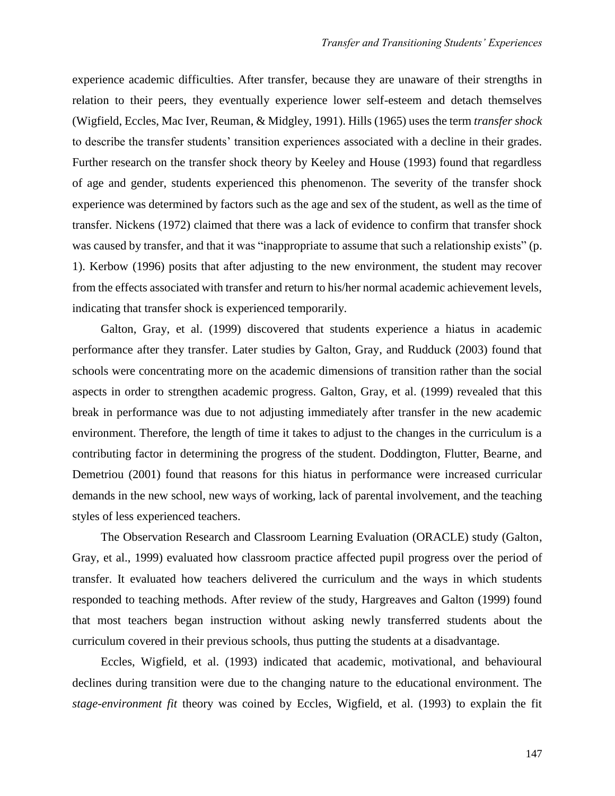experience academic difficulties. After transfer, because they are unaware of their strengths in relation to their peers, they eventually experience lower self-esteem and detach themselves (Wigfield, Eccles, Mac Iver, Reuman, & Midgley, 1991). Hills (1965) uses the term *transfer shock* to describe the transfer students' transition experiences associated with a decline in their grades. Further research on the transfer shock theory by Keeley and House (1993) found that regardless of age and gender, students experienced this phenomenon. The severity of the transfer shock experience was determined by factors such as the age and sex of the student, as well as the time of transfer. Nickens (1972) claimed that there was a lack of evidence to confirm that transfer shock was caused by transfer, and that it was "inappropriate to assume that such a relationship exists" (p. 1). Kerbow (1996) posits that after adjusting to the new environment, the student may recover from the effects associated with transfer and return to his/her normal academic achievement levels, indicating that transfer shock is experienced temporarily.

Galton, Gray, et al. (1999) discovered that students experience a hiatus in academic performance after they transfer. Later studies by Galton, Gray, and Rudduck (2003) found that schools were concentrating more on the academic dimensions of transition rather than the social aspects in order to strengthen academic progress. Galton, Gray, et al. (1999) revealed that this break in performance was due to not adjusting immediately after transfer in the new academic environment. Therefore, the length of time it takes to adjust to the changes in the curriculum is a contributing factor in determining the progress of the student. Doddington, Flutter, Bearne, and Demetriou (2001) found that reasons for this hiatus in performance were increased curricular demands in the new school, new ways of working, lack of parental involvement, and the teaching styles of less experienced teachers.

The Observation Research and Classroom Learning Evaluation (ORACLE) study (Galton, Gray, et al., 1999) evaluated how classroom practice affected pupil progress over the period of transfer. It evaluated how teachers delivered the curriculum and the ways in which students responded to teaching methods. After review of the study, Hargreaves and Galton (1999) found that most teachers began instruction without asking newly transferred students about the curriculum covered in their previous schools, thus putting the students at a disadvantage.

Eccles, Wigfield, et al. (1993) indicated that academic, motivational, and behavioural declines during transition were due to the changing nature to the educational environment. The *stage-environment fit* theory was coined by Eccles, Wigfield, et al. (1993) to explain the fit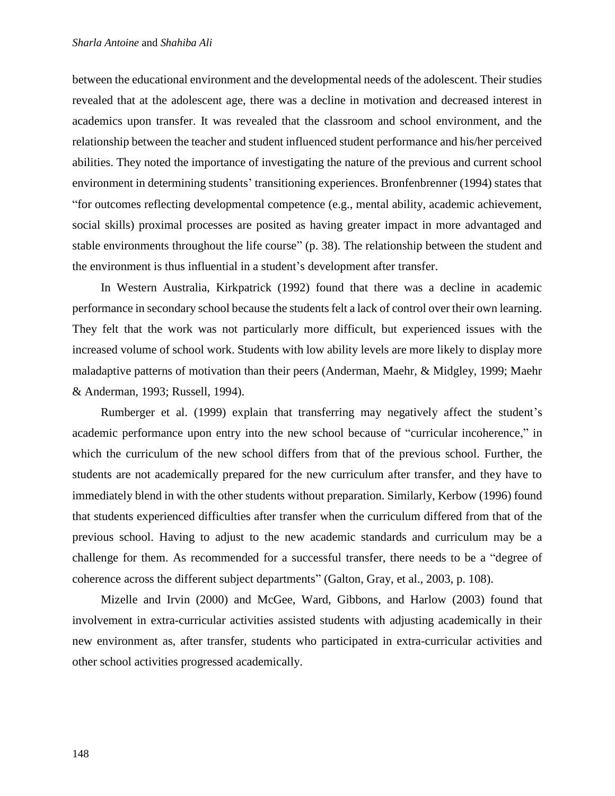between the educational environment and the developmental needs of the adolescent. Their studies revealed that at the adolescent age, there was a decline in motivation and decreased interest in academics upon transfer. It was revealed that the classroom and school environment, and the relationship between the teacher and student influenced student performance and his/her perceived abilities. They noted the importance of investigating the nature of the previous and current school environment in determining students' transitioning experiences. Bronfenbrenner (1994) states that "for outcomes reflecting developmental competence (e.g., mental ability, academic achievement, social skills) proximal processes are posited as having greater impact in more advantaged and stable environments throughout the life course" (p. 38). The relationship between the student and the environment is thus influential in a student's development after transfer.

In Western Australia, Kirkpatrick (1992) found that there was a decline in academic performance in secondary school because the students felt a lack of control over their own learning. They felt that the work was not particularly more difficult, but experienced issues with the increased volume of school work. Students with low ability levels are more likely to display more maladaptive patterns of motivation than their peers (Anderman, Maehr, & Midgley, 1999; Maehr & Anderman, 1993; Russell, 1994).

Rumberger et al. (1999) explain that transferring may negatively affect the student's academic performance upon entry into the new school because of "curricular incoherence," in which the curriculum of the new school differs from that of the previous school. Further, the students are not academically prepared for the new curriculum after transfer, and they have to immediately blend in with the other students without preparation. Similarly, Kerbow (1996) found that students experienced difficulties after transfer when the curriculum differed from that of the previous school. Having to adjust to the new academic standards and curriculum may be a challenge for them. As recommended for a successful transfer, there needs to be a "degree of coherence across the different subject departments" (Galton, Gray, et al., 2003, p. 108).

Mizelle and Irvin (2000) and McGee, Ward, Gibbons, and Harlow (2003) found that involvement in extra-curricular activities assisted students with adjusting academically in their new environment as, after transfer, students who participated in extra-curricular activities and other school activities progressed academically.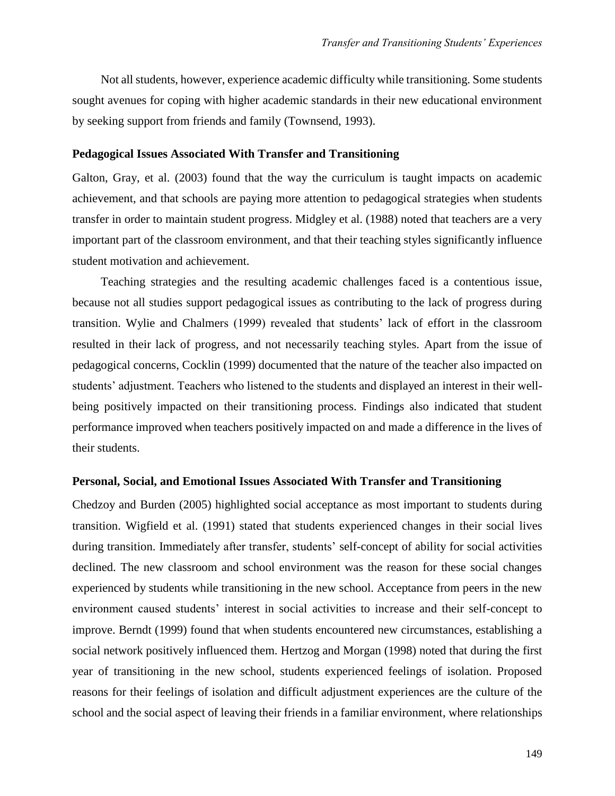Not all students, however, experience academic difficulty while transitioning. Some students sought avenues for coping with higher academic standards in their new educational environment by seeking support from friends and family (Townsend, 1993).

#### **Pedagogical Issues Associated With Transfer and Transitioning**

Galton, Gray, et al. (2003) found that the way the curriculum is taught impacts on academic achievement, and that schools are paying more attention to pedagogical strategies when students transfer in order to maintain student progress. Midgley et al. (1988) noted that teachers are a very important part of the classroom environment, and that their teaching styles significantly influence student motivation and achievement.

Teaching strategies and the resulting academic challenges faced is a contentious issue, because not all studies support pedagogical issues as contributing to the lack of progress during transition. Wylie and Chalmers (1999) revealed that students' lack of effort in the classroom resulted in their lack of progress, and not necessarily teaching styles. Apart from the issue of pedagogical concerns, Cocklin (1999) documented that the nature of the teacher also impacted on students' adjustment. Teachers who listened to the students and displayed an interest in their wellbeing positively impacted on their transitioning process. Findings also indicated that student performance improved when teachers positively impacted on and made a difference in the lives of their students.

#### **Personal, Social, and Emotional Issues Associated With Transfer and Transitioning**

Chedzoy and Burden (2005) highlighted social acceptance as most important to students during transition. Wigfield et al. (1991) stated that students experienced changes in their social lives during transition. Immediately after transfer, students' self-concept of ability for social activities declined. The new classroom and school environment was the reason for these social changes experienced by students while transitioning in the new school. Acceptance from peers in the new environment caused students' interest in social activities to increase and their self-concept to improve. Berndt (1999) found that when students encountered new circumstances, establishing a social network positively influenced them. Hertzog and Morgan (1998) noted that during the first year of transitioning in the new school, students experienced feelings of isolation. Proposed reasons for their feelings of isolation and difficult adjustment experiences are the culture of the school and the social aspect of leaving their friends in a familiar environment, where relationships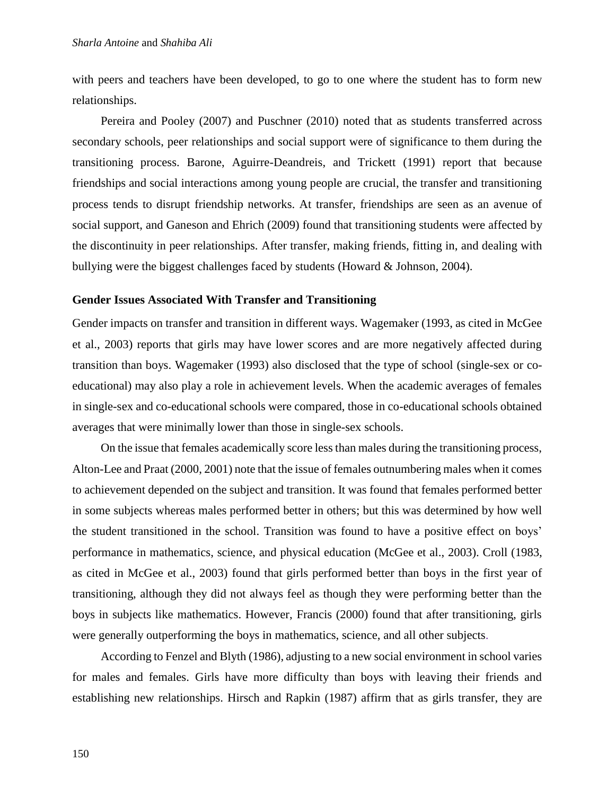with peers and teachers have been developed, to go to one where the student has to form new relationships.

Pereira and Pooley (2007) and Puschner (2010) noted that as students transferred across secondary schools, peer relationships and social support were of significance to them during the transitioning process. Barone, Aguirre-Deandreis, and Trickett (1991) report that because friendships and social interactions among young people are crucial, the transfer and transitioning process tends to disrupt friendship networks. At transfer, friendships are seen as an avenue of social support, and Ganeson and Ehrich (2009) found that transitioning students were affected by the discontinuity in peer relationships. After transfer, making friends, fitting in, and dealing with bullying were the biggest challenges faced by students (Howard & Johnson, 2004).

#### **Gender Issues Associated With Transfer and Transitioning**

Gender impacts on transfer and transition in different ways. Wagemaker (1993, as cited in McGee et al., 2003) reports that girls may have lower scores and are more negatively affected during transition than boys. Wagemaker (1993) also disclosed that the type of school (single-sex or coeducational) may also play a role in achievement levels. When the academic averages of females in single-sex and co-educational schools were compared, those in co-educational schools obtained averages that were minimally lower than those in single-sex schools.

On the issue that females academically score less than males during the transitioning process, Alton-Lee and Praat (2000, 2001) note that the issue of females outnumbering males when it comes to achievement depended on the subject and transition. It was found that females performed better in some subjects whereas males performed better in others; but this was determined by how well the student transitioned in the school. Transition was found to have a positive effect on boys' performance in mathematics, science, and physical education (McGee et al., 2003). Croll (1983, as cited in McGee et al., 2003) found that girls performed better than boys in the first year of transitioning, although they did not always feel as though they were performing better than the boys in subjects like mathematics. However, Francis (2000) found that after transitioning, girls were generally outperforming the boys in mathematics, science, and all other subjects.

According to Fenzel and Blyth (1986), adjusting to a new social environment in school varies for males and females. Girls have more difficulty than boys with leaving their friends and establishing new relationships. Hirsch and Rapkin (1987) affirm that as girls transfer, they are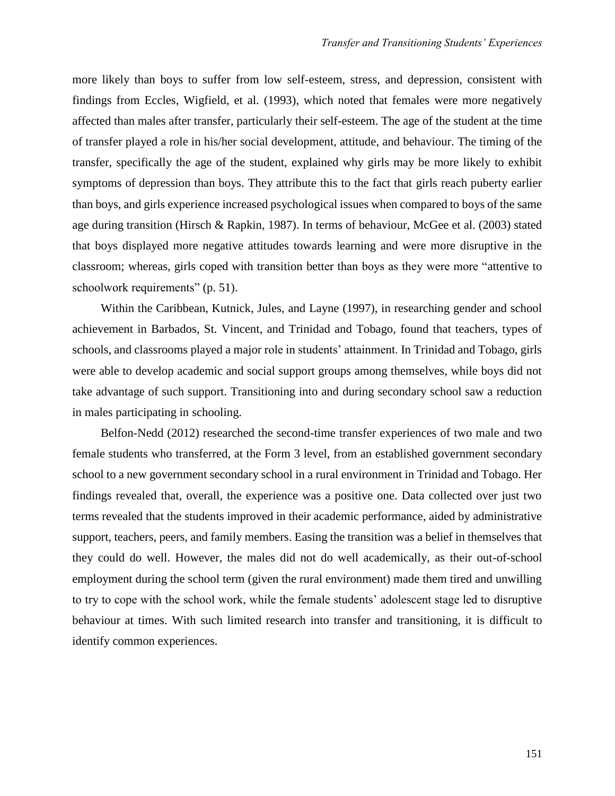more likely than boys to suffer from low self-esteem, stress, and depression, consistent with findings from Eccles, Wigfield, et al. (1993), which noted that females were more negatively affected than males after transfer, particularly their self-esteem. The age of the student at the time of transfer played a role in his/her social development, attitude, and behaviour. The timing of the transfer, specifically the age of the student, explained why girls may be more likely to exhibit symptoms of depression than boys. They attribute this to the fact that girls reach puberty earlier than boys, and girls experience increased psychological issues when compared to boys of the same age during transition (Hirsch & Rapkin, 1987). In terms of behaviour, McGee et al. (2003) stated that boys displayed more negative attitudes towards learning and were more disruptive in the classroom; whereas, girls coped with transition better than boys as they were more "attentive to schoolwork requirements" (p. 51).

Within the Caribbean, Kutnick, Jules, and Layne (1997), in researching gender and school achievement in Barbados, St. Vincent, and Trinidad and Tobago, found that teachers, types of schools, and classrooms played a major role in students' attainment. In Trinidad and Tobago, girls were able to develop academic and social support groups among themselves, while boys did not take advantage of such support. Transitioning into and during secondary school saw a reduction in males participating in schooling.

Belfon-Nedd (2012) researched the second-time transfer experiences of two male and two female students who transferred, at the Form 3 level, from an established government secondary school to a new government secondary school in a rural environment in Trinidad and Tobago. Her findings revealed that, overall, the experience was a positive one. Data collected over just two terms revealed that the students improved in their academic performance, aided by administrative support, teachers, peers, and family members. Easing the transition was a belief in themselves that they could do well. However, the males did not do well academically, as their out-of-school employment during the school term (given the rural environment) made them tired and unwilling to try to cope with the school work, while the female students' adolescent stage led to disruptive behaviour at times. With such limited research into transfer and transitioning, it is difficult to identify common experiences.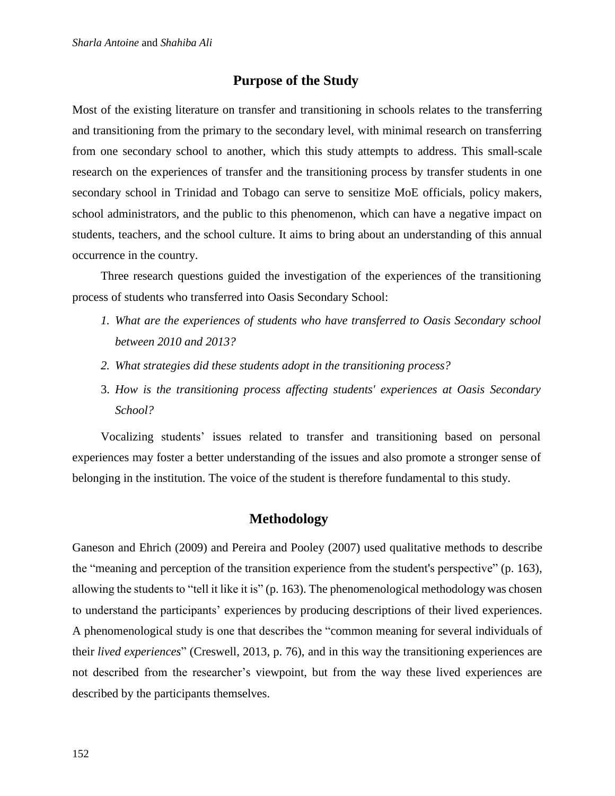# **Purpose of the Study**

Most of the existing literature on transfer and transitioning in schools relates to the transferring and transitioning from the primary to the secondary level, with minimal research on transferring from one secondary school to another, which this study attempts to address. This small-scale research on the experiences of transfer and the transitioning process by transfer students in one secondary school in Trinidad and Tobago can serve to sensitize MoE officials, policy makers, school administrators, and the public to this phenomenon, which can have a negative impact on students, teachers, and the school culture. It aims to bring about an understanding of this annual occurrence in the country.

Three research questions guided the investigation of the experiences of the transitioning process of students who transferred into Oasis Secondary School:

- *1. What are the experiences of students who have transferred to Oasis Secondary school between 2010 and 2013?*
- *2. What strategies did these students adopt in the transitioning process?*
- 3. *How is the transitioning process affecting students' experiences at Oasis Secondary School?*

Vocalizing students' issues related to transfer and transitioning based on personal experiences may foster a better understanding of the issues and also promote a stronger sense of belonging in the institution. The voice of the student is therefore fundamental to this study.

# **Methodology**

Ganeson and Ehrich (2009) and Pereira and Pooley (2007) used qualitative methods to describe the "meaning and perception of the transition experience from the student's perspective" (p. 163), allowing the students to "tell it like it is" (p. 163). The phenomenological methodology was chosen to understand the participants' experiences by producing descriptions of their lived experiences. A phenomenological study is one that describes the "common meaning for several individuals of their *lived experiences*" (Creswell, 2013, p. 76), and in this way the transitioning experiences are not described from the researcher's viewpoint, but from the way these lived experiences are described by the participants themselves.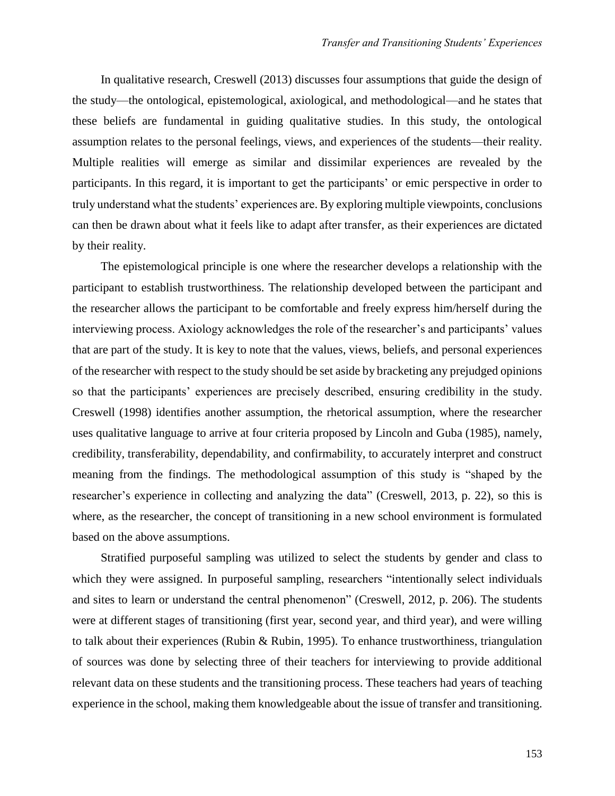In qualitative research, Creswell (2013) discusses four assumptions that guide the design of the study—the ontological, epistemological, axiological, and methodological—and he states that these beliefs are fundamental in guiding qualitative studies. In this study, the ontological assumption relates to the personal feelings, views, and experiences of the students—their reality. Multiple realities will emerge as similar and dissimilar experiences are revealed by the participants. In this regard, it is important to get the participants' or emic perspective in order to truly understand what the students' experiences are. By exploring multiple viewpoints, conclusions can then be drawn about what it feels like to adapt after transfer, as their experiences are dictated by their reality.

The epistemological principle is one where the researcher develops a relationship with the participant to establish trustworthiness. The relationship developed between the participant and the researcher allows the participant to be comfortable and freely express him/herself during the interviewing process. Axiology acknowledges the role of the researcher's and participants' values that are part of the study. It is key to note that the values, views, beliefs, and personal experiences of the researcher with respect to the study should be set aside by bracketing any prejudged opinions so that the participants' experiences are precisely described, ensuring credibility in the study. Creswell (1998) identifies another assumption, the rhetorical assumption, where the researcher uses qualitative language to arrive at four criteria proposed by Lincoln and Guba (1985), namely, credibility, transferability, dependability, and confirmability, to accurately interpret and construct meaning from the findings. The methodological assumption of this study is "shaped by the researcher's experience in collecting and analyzing the data" (Creswell, 2013, p. 22), so this is where, as the researcher, the concept of transitioning in a new school environment is formulated based on the above assumptions.

Stratified purposeful sampling was utilized to select the students by gender and class to which they were assigned. In purposeful sampling, researchers "intentionally select individuals and sites to learn or understand the central phenomenon" (Creswell, 2012, p. 206). The students were at different stages of transitioning (first year, second year, and third year), and were willing to talk about their experiences (Rubin & Rubin, 1995). To enhance trustworthiness, triangulation of sources was done by selecting three of their teachers for interviewing to provide additional relevant data on these students and the transitioning process. These teachers had years of teaching experience in the school, making them knowledgeable about the issue of transfer and transitioning.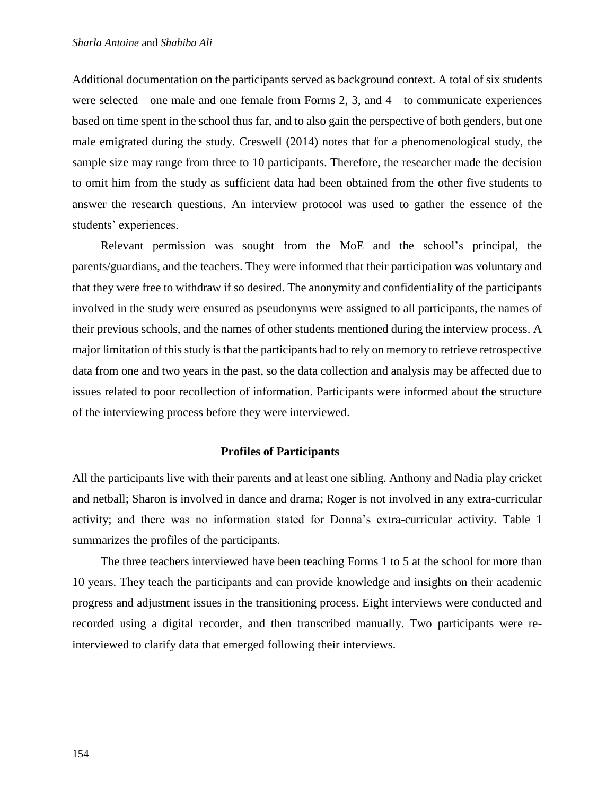Additional documentation on the participants served as background context. A total of six students were selected—one male and one female from Forms 2, 3, and 4—to communicate experiences based on time spent in the school thus far, and to also gain the perspective of both genders, but one male emigrated during the study. Creswell (2014) notes that for a phenomenological study, the sample size may range from three to 10 participants. Therefore, the researcher made the decision to omit him from the study as sufficient data had been obtained from the other five students to answer the research questions. An interview protocol was used to gather the essence of the students' experiences.

Relevant permission was sought from the MoE and the school's principal, the parents/guardians, and the teachers. They were informed that their participation was voluntary and that they were free to withdraw if so desired. The anonymity and confidentiality of the participants involved in the study were ensured as pseudonyms were assigned to all participants, the names of their previous schools, and the names of other students mentioned during the interview process. A major limitation of this study is that the participants had to rely on memory to retrieve retrospective data from one and two years in the past, so the data collection and analysis may be affected due to issues related to poor recollection of information. Participants were informed about the structure of the interviewing process before they were interviewed.

#### **Profiles of Participants**

All the participants live with their parents and at least one sibling. Anthony and Nadia play cricket and netball; Sharon is involved in dance and drama; Roger is not involved in any extra-curricular activity; and there was no information stated for Donna's extra-curricular activity. Table 1 summarizes the profiles of the participants.

The three teachers interviewed have been teaching Forms 1 to 5 at the school for more than 10 years. They teach the participants and can provide knowledge and insights on their academic progress and adjustment issues in the transitioning process. Eight interviews were conducted and recorded using a digital recorder, and then transcribed manually. Two participants were reinterviewed to clarify data that emerged following their interviews.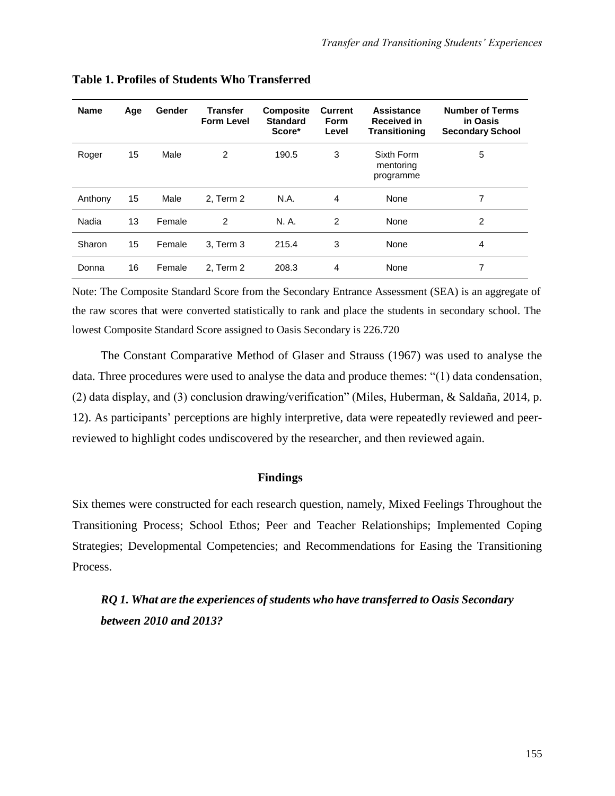| <b>Name</b> | Age | Gender | <b>Transfer</b><br><b>Form Level</b> | <b>Composite</b><br><b>Standard</b><br>Score* | <b>Current</b><br><b>Form</b><br>Level | Assistance<br><b>Received in</b><br><b>Transitioning</b> | <b>Number of Terms</b><br>in Oasis<br><b>Secondary School</b> |
|-------------|-----|--------|--------------------------------------|-----------------------------------------------|----------------------------------------|----------------------------------------------------------|---------------------------------------------------------------|
| Roger       | 15  | Male   | 2                                    | 190.5                                         | 3                                      | Sixth Form<br>mentoring<br>programme                     | 5                                                             |
| Anthony     | 15  | Male   | 2. Term 2                            | N.A.                                          | 4                                      | None                                                     | 7                                                             |
| Nadia       | 13  | Female | $\overline{2}$                       | N. A.                                         | 2                                      | None                                                     | 2                                                             |
| Sharon      | 15  | Female | 3, Term 3                            | 215.4                                         | 3                                      | None                                                     | 4                                                             |
| Donna       | 16  | Female | 2, Term 2                            | 208.3                                         | 4                                      | None                                                     | 7                                                             |

**Table 1. Profiles of Students Who Transferred**

Note: The Composite Standard Score from the Secondary Entrance Assessment (SEA) is an aggregate of the raw scores that were converted statistically to rank and place the students in secondary school. The lowest Composite Standard Score assigned to Oasis Secondary is 226.720

The Constant Comparative Method of Glaser and Strauss (1967) was used to analyse the data. Three procedures were used to analyse the data and produce themes: "(1) data condensation, (2) data display, and (3) conclusion drawing/verification" (Miles, Huberman, & Saldaña, 2014, p. 12). As participants' perceptions are highly interpretive, data were repeatedly reviewed and peerreviewed to highlight codes undiscovered by the researcher, and then reviewed again.

#### **Findings**

Six themes were constructed for each research question, namely, Mixed Feelings Throughout the Transitioning Process; School Ethos; Peer and Teacher Relationships; Implemented Coping Strategies; Developmental Competencies; and Recommendations for Easing the Transitioning Process.

*RQ 1. What are the experiences of students who have transferred to Oasis Secondary between 2010 and 2013?*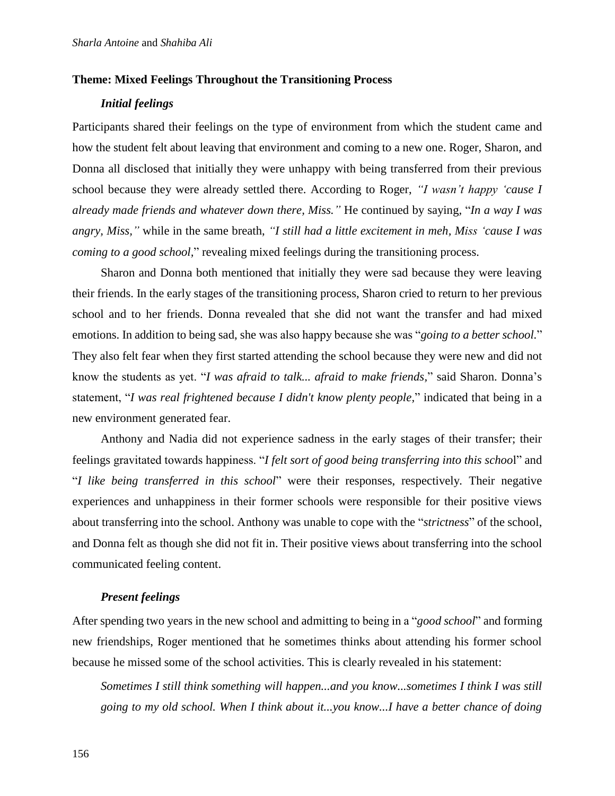### **Theme: Mixed Feelings Throughout the Transitioning Process**

## *Initial feelings*

Participants shared their feelings on the type of environment from which the student came and how the student felt about leaving that environment and coming to a new one. Roger, Sharon, and Donna all disclosed that initially they were unhappy with being transferred from their previous school because they were already settled there. According to Roger, *"I wasn't happy 'cause I already made friends and whatever down there, Miss."* He continued by saying*,* "*In a way I was angry, Miss,"* while in the same breath, *"I still had a little excitement in meh, Miss 'cause I was coming to a good school*," revealing mixed feelings during the transitioning process.

Sharon and Donna both mentioned that initially they were sad because they were leaving their friends. In the early stages of the transitioning process, Sharon cried to return to her previous school and to her friends. Donna revealed that she did not want the transfer and had mixed emotions. In addition to being sad, she was also happy because she was "*going to a better school.*" They also felt fear when they first started attending the school because they were new and did not know the students as yet. "*I was afraid to talk... afraid to make friends,*" said Sharon. Donna's statement, "*I was real frightened because I didn't know plenty people,*" indicated that being in a new environment generated fear.

Anthony and Nadia did not experience sadness in the early stages of their transfer; their feelings gravitated towards happiness. "*I felt sort of good being transferring into this schoo*l" and "*I like being transferred in this school*" were their responses, respectively*.* Their negative experiences and unhappiness in their former schools were responsible for their positive views about transferring into the school. Anthony was unable to cope with the "*strictness*" of the school, and Donna felt as though she did not fit in. Their positive views about transferring into the school communicated feeling content.

## *Present feelings*

After spending two years in the new school and admitting to being in a "*good school*" and forming new friendships, Roger mentioned that he sometimes thinks about attending his former school because he missed some of the school activities. This is clearly revealed in his statement:

*Sometimes I still think something will happen...and you know...sometimes I think I was still going to my old school. When I think about it...you know...I have a better chance of doing*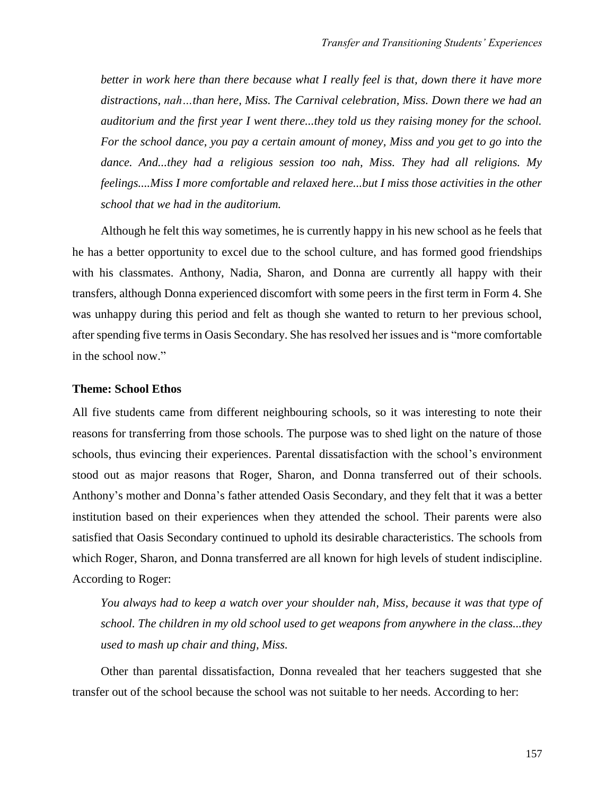*better in work here than there because what I really feel is that, down there it have more distractions, nah…than here, Miss. The Carnival celebration, Miss. Down there we had an auditorium and the first year I went there...they told us they raising money for the school. For the school dance, you pay a certain amount of money, Miss and you get to go into the dance. And...they had a religious session too nah, Miss. They had all religions. My feelings....Miss I more comfortable and relaxed here...but I miss those activities in the other school that we had in the auditorium.*

Although he felt this way sometimes, he is currently happy in his new school as he feels that he has a better opportunity to excel due to the school culture, and has formed good friendships with his classmates. Anthony, Nadia, Sharon, and Donna are currently all happy with their transfers, although Donna experienced discomfort with some peers in the first term in Form 4. She was unhappy during this period and felt as though she wanted to return to her previous school, after spending five terms in Oasis Secondary. She has resolved her issues and is "more comfortable in the school now."

#### **Theme: School Ethos**

All five students came from different neighbouring schools, so it was interesting to note their reasons for transferring from those schools. The purpose was to shed light on the nature of those schools, thus evincing their experiences. Parental dissatisfaction with the school's environment stood out as major reasons that Roger, Sharon, and Donna transferred out of their schools. Anthony's mother and Donna's father attended Oasis Secondary, and they felt that it was a better institution based on their experiences when they attended the school. Their parents were also satisfied that Oasis Secondary continued to uphold its desirable characteristics. The schools from which Roger, Sharon, and Donna transferred are all known for high levels of student indiscipline. According to Roger:

*You always had to keep a watch over your shoulder nah, Miss, because it was that type of school. The children in my old school used to get weapons from anywhere in the class...they used to mash up chair and thing, Miss.*

Other than parental dissatisfaction, Donna revealed that her teachers suggested that she transfer out of the school because the school was not suitable to her needs. According to her: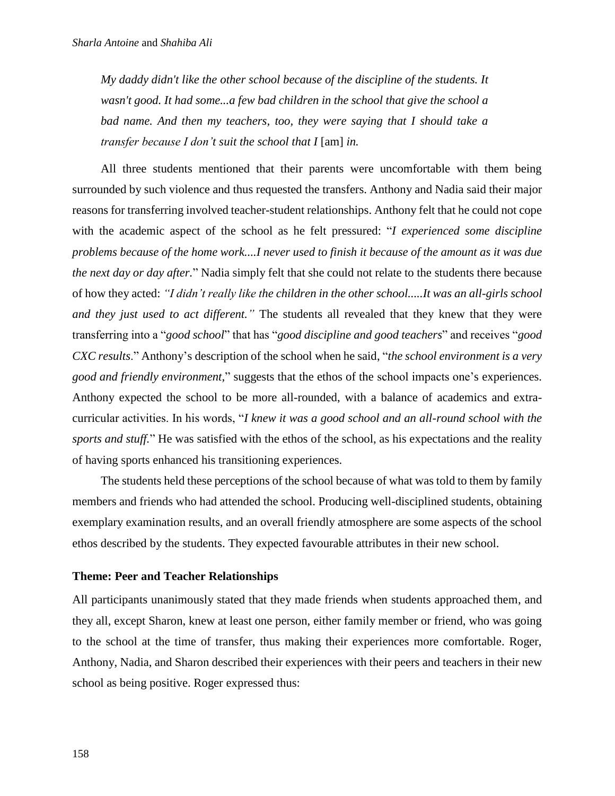*My daddy didn't like the other school because of the discipline of the students. It wasn't good. It had some...a few bad children in the school that give the school a bad name. And then my teachers, too, they were saying that I should take a transfer because I don't suit the school that I* [am] *in.*

All three students mentioned that their parents were uncomfortable with them being surrounded by such violence and thus requested the transfers. Anthony and Nadia said their major reasons for transferring involved teacher-student relationships. Anthony felt that he could not cope with the academic aspect of the school as he felt pressured: "*I experienced some discipline problems because of the home work....I never used to finish it because of the amount as it was due the next day or day after.*" Nadia simply felt that she could not relate to the students there because of how they acted: *"I didn't really like the children in the other school.....It was an all-girls school and they just used to act different."* The students all revealed that they knew that they were transferring into a "*good school*" that has "*good discipline and good teachers*" and receives "*good CXC results*." Anthony's description of the school when he said, "*the school environment is a very good and friendly environment,*" suggests that the ethos of the school impacts one's experiences. Anthony expected the school to be more all-rounded, with a balance of academics and extracurricular activities. In his words, "*I knew it was a good school and an all-round school with the sports and stuff.*" He was satisfied with the ethos of the school, as his expectations and the reality of having sports enhanced his transitioning experiences.

The students held these perceptions of the school because of what was told to them by family members and friends who had attended the school. Producing well-disciplined students, obtaining exemplary examination results, and an overall friendly atmosphere are some aspects of the school ethos described by the students. They expected favourable attributes in their new school.

#### **Theme: Peer and Teacher Relationships**

All participants unanimously stated that they made friends when students approached them, and they all, except Sharon, knew at least one person, either family member or friend, who was going to the school at the time of transfer, thus making their experiences more comfortable. Roger, Anthony, Nadia, and Sharon described their experiences with their peers and teachers in their new school as being positive. Roger expressed thus: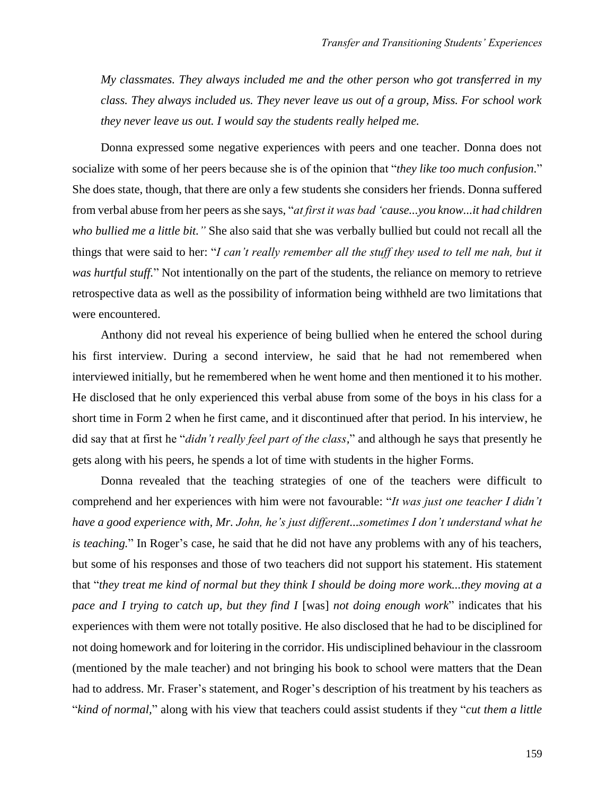*My classmates. They always included me and the other person who got transferred in my class. They always included us. They never leave us out of a group, Miss. For school work they never leave us out. I would say the students really helped me.*

Donna expressed some negative experiences with peers and one teacher. Donna does not socialize with some of her peers because she is of the opinion that "*they like too much confusion.*" She does state, though, that there are only a few students she considers her friends. Donna suffered from verbal abuse from her peers as she says, "*at first it was bad 'cause...you know...it had children who bullied me a little bit."* She also said that she was verbally bullied but could not recall all the things that were said to her: "*I can't really remember all the stuff they used to tell me nah, but it was hurtful stuff.*" Not intentionally on the part of the students, the reliance on memory to retrieve retrospective data as well as the possibility of information being withheld are two limitations that were encountered.

Anthony did not reveal his experience of being bullied when he entered the school during his first interview. During a second interview, he said that he had not remembered when interviewed initially, but he remembered when he went home and then mentioned it to his mother. He disclosed that he only experienced this verbal abuse from some of the boys in his class for a short time in Form 2 when he first came, and it discontinued after that period. In his interview, he did say that at first he "*didn't really feel part of the class,*" and although he says that presently he gets along with his peers, he spends a lot of time with students in the higher Forms.

Donna revealed that the teaching strategies of one of the teachers were difficult to comprehend and her experiences with him were not favourable: "*It was just one teacher I didn't have a good experience with, Mr. John, he's just different...sometimes I don't understand what he is teaching.*" In Roger's case, he said that he did not have any problems with any of his teachers, but some of his responses and those of two teachers did not support his statement. His statement that "*they treat me kind of normal but they think I should be doing more work...they moving at a pace and I trying to catch up, but they find I* [was] *not doing enough work*" indicates that his experiences with them were not totally positive. He also disclosed that he had to be disciplined for not doing homework and for loitering in the corridor. His undisciplined behaviour in the classroom (mentioned by the male teacher) and not bringing his book to school were matters that the Dean had to address. Mr. Fraser's statement, and Roger's description of his treatment by his teachers as "*kind of normal,*" along with his view that teachers could assist students if they "*cut them a little*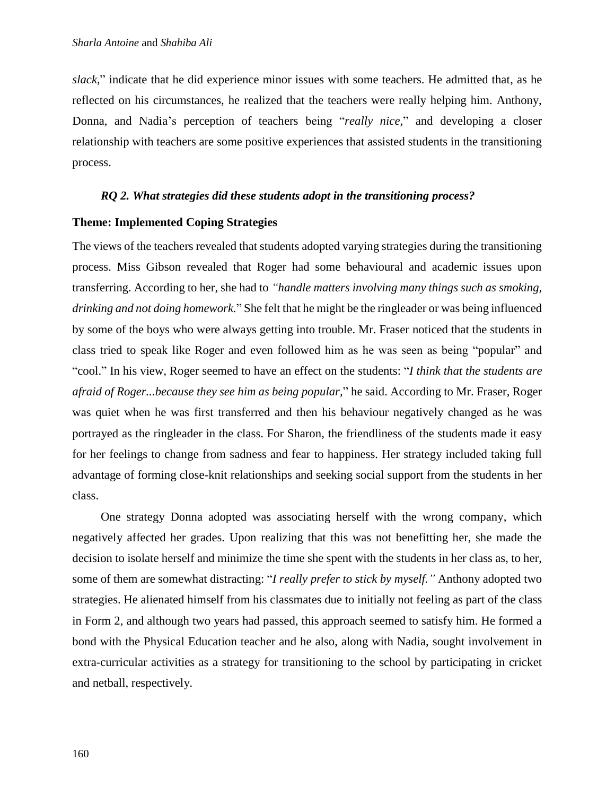*slack,*" indicate that he did experience minor issues with some teachers. He admitted that, as he reflected on his circumstances, he realized that the teachers were really helping him. Anthony, Donna, and Nadia's perception of teachers being "*really nice*," and developing a closer relationship with teachers are some positive experiences that assisted students in the transitioning process.

#### *RQ 2. What strategies did these students adopt in the transitioning process?*

#### **Theme: Implemented Coping Strategies**

The views of the teachers revealed that students adopted varying strategies during the transitioning process. Miss Gibson revealed that Roger had some behavioural and academic issues upon transferring. According to her, she had to *"handle matters involving many things such as smoking, drinking and not doing homework.*" She felt that he might be the ringleader or was being influenced by some of the boys who were always getting into trouble. Mr. Fraser noticed that the students in class tried to speak like Roger and even followed him as he was seen as being "popular" and "cool." In his view, Roger seemed to have an effect on the students: "*I think that the students are afraid of Roger...because they see him as being popular,*" he said. According to Mr. Fraser, Roger was quiet when he was first transferred and then his behaviour negatively changed as he was portrayed as the ringleader in the class. For Sharon, the friendliness of the students made it easy for her feelings to change from sadness and fear to happiness. Her strategy included taking full advantage of forming close-knit relationships and seeking social support from the students in her class.

One strategy Donna adopted was associating herself with the wrong company, which negatively affected her grades. Upon realizing that this was not benefitting her, she made the decision to isolate herself and minimize the time she spent with the students in her class as, to her, some of them are somewhat distracting: "*I really prefer to stick by myself."* Anthony adopted two strategies. He alienated himself from his classmates due to initially not feeling as part of the class in Form 2, and although two years had passed, this approach seemed to satisfy him. He formed a bond with the Physical Education teacher and he also, along with Nadia, sought involvement in extra-curricular activities as a strategy for transitioning to the school by participating in cricket and netball, respectively.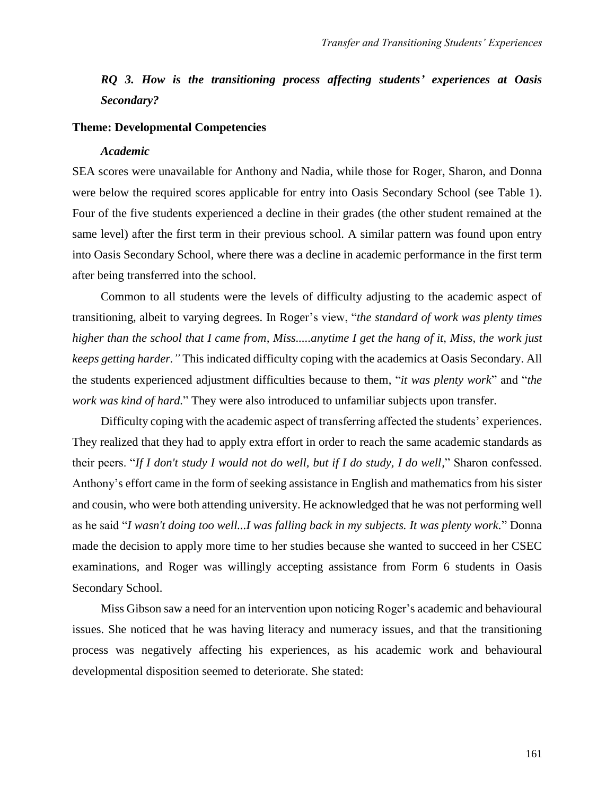# *RQ 3. How is the transitioning process affecting students' experiences at Oasis Secondary?*

#### **Theme: Developmental Competencies**

#### *Academic*

SEA scores were unavailable for Anthony and Nadia, while those for Roger, Sharon, and Donna were below the required scores applicable for entry into Oasis Secondary School (see Table 1). Four of the five students experienced a decline in their grades (the other student remained at the same level) after the first term in their previous school. A similar pattern was found upon entry into Oasis Secondary School, where there was a decline in academic performance in the first term after being transferred into the school.

Common to all students were the levels of difficulty adjusting to the academic aspect of transitioning, albeit to varying degrees. In Roger's view, "*the standard of work was plenty times higher than the school that I came from, Miss.....anytime I get the hang of it, Miss, the work just keeps getting harder."* This indicated difficulty coping with the academics at Oasis Secondary. All the students experienced adjustment difficulties because to them, "*it was plenty work*" and "*the work was kind of hard.*" They were also introduced to unfamiliar subjects upon transfer.

Difficulty coping with the academic aspect of transferring affected the students' experiences. They realized that they had to apply extra effort in order to reach the same academic standards as their peers. "*If I don't study I would not do well, but if I do study, I do well,*" Sharon confessed. Anthony's effort came in the form of seeking assistance in English and mathematics from his sister and cousin, who were both attending university. He acknowledged that he was not performing well as he said "*I wasn't doing too well...I was falling back in my subjects. It was plenty work.*" Donna made the decision to apply more time to her studies because she wanted to succeed in her CSEC examinations, and Roger was willingly accepting assistance from Form 6 students in Oasis Secondary School.

Miss Gibson saw a need for an intervention upon noticing Roger's academic and behavioural issues. She noticed that he was having literacy and numeracy issues, and that the transitioning process was negatively affecting his experiences, as his academic work and behavioural developmental disposition seemed to deteriorate. She stated: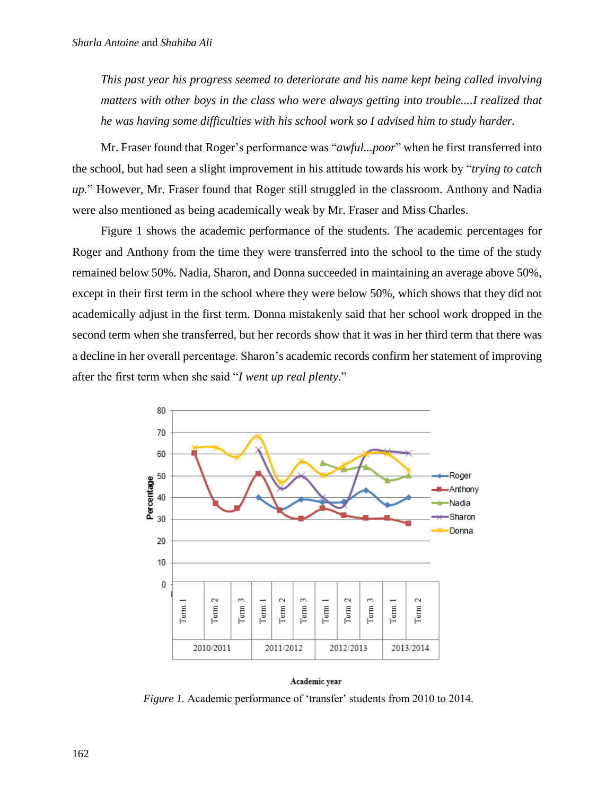*This past year his progress seemed to deteriorate and his name kept being called involving matters with other boys in the class who were always getting into trouble....I realized that he was having some difficulties with his school work so I advised him to study harder.*

Mr. Fraser found that Roger's performance was "*awful...poor*" when he first transferred into the school, but had seen a slight improvement in his attitude towards his work by "*trying to catch up.*" However, Mr. Fraser found that Roger still struggled in the classroom. Anthony and Nadia were also mentioned as being academically weak by Mr. Fraser and Miss Charles.

Figure 1 shows the academic performance of the students. The academic percentages for Roger and Anthony from the time they were transferred into the school to the time of the study remained below 50%. Nadia, Sharon, and Donna succeeded in maintaining an average above 50%, except in their first term in the school where they were below 50%, which shows that they did not academically adjust in the first term. Donna mistakenly said that her school work dropped in the second term when she transferred, but her records show that it was in her third term that there was a decline in her overall percentage. Sharon's academic records confirm her statement of improving after the first term when she said "*I went up real plenty.*"



#### Academic year

*Figure 1.* Academic performance of 'transfer' students from 2010 to 2014.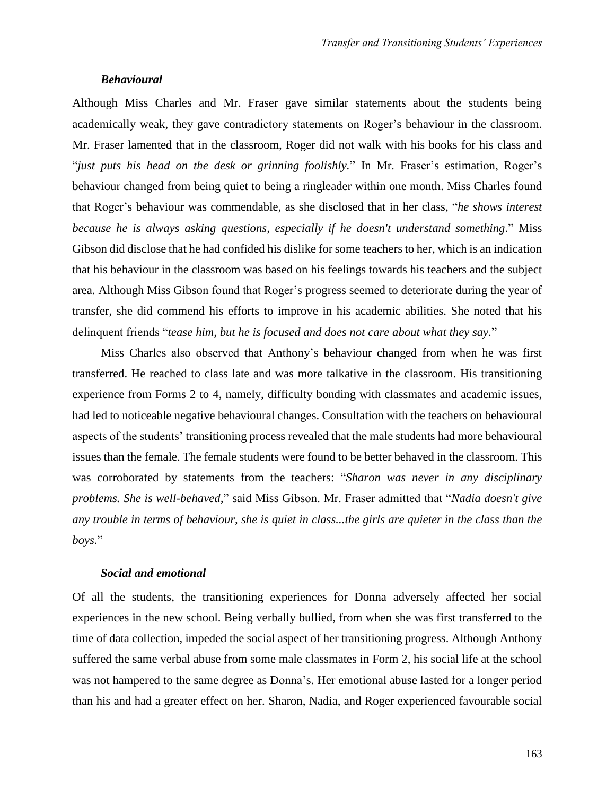#### *Behavioural*

Although Miss Charles and Mr. Fraser gave similar statements about the students being academically weak, they gave contradictory statements on Roger's behaviour in the classroom. Mr. Fraser lamented that in the classroom, Roger did not walk with his books for his class and "*just puts his head on the desk or grinning foolishly.*" In Mr. Fraser's estimation, Roger's behaviour changed from being quiet to being a ringleader within one month. Miss Charles found that Roger's behaviour was commendable, as she disclosed that in her class, "*he shows interest because he is always asking questions, especially if he doesn't understand something*." Miss Gibson did disclose that he had confided his dislike for some teachers to her, which is an indication that his behaviour in the classroom was based on his feelings towards his teachers and the subject area. Although Miss Gibson found that Roger's progress seemed to deteriorate during the year of transfer, she did commend his efforts to improve in his academic abilities. She noted that his delinquent friends "*tease him, but he is focused and does not care about what they say.*"

Miss Charles also observed that Anthony's behaviour changed from when he was first transferred. He reached to class late and was more talkative in the classroom. His transitioning experience from Forms 2 to 4, namely, difficulty bonding with classmates and academic issues, had led to noticeable negative behavioural changes. Consultation with the teachers on behavioural aspects of the students' transitioning process revealed that the male students had more behavioural issues than the female. The female students were found to be better behaved in the classroom. This was corroborated by statements from the teachers: "*Sharon was never in any disciplinary problems. She is well-behaved,*" said Miss Gibson. Mr. Fraser admitted that "*Nadia doesn't give any trouble in terms of behaviour, she is quiet in class...the girls are quieter in the class than the boys.*"

### *Social and emotional*

Of all the students, the transitioning experiences for Donna adversely affected her social experiences in the new school. Being verbally bullied, from when she was first transferred to the time of data collection, impeded the social aspect of her transitioning progress. Although Anthony suffered the same verbal abuse from some male classmates in Form 2, his social life at the school was not hampered to the same degree as Donna's. Her emotional abuse lasted for a longer period than his and had a greater effect on her. Sharon, Nadia, and Roger experienced favourable social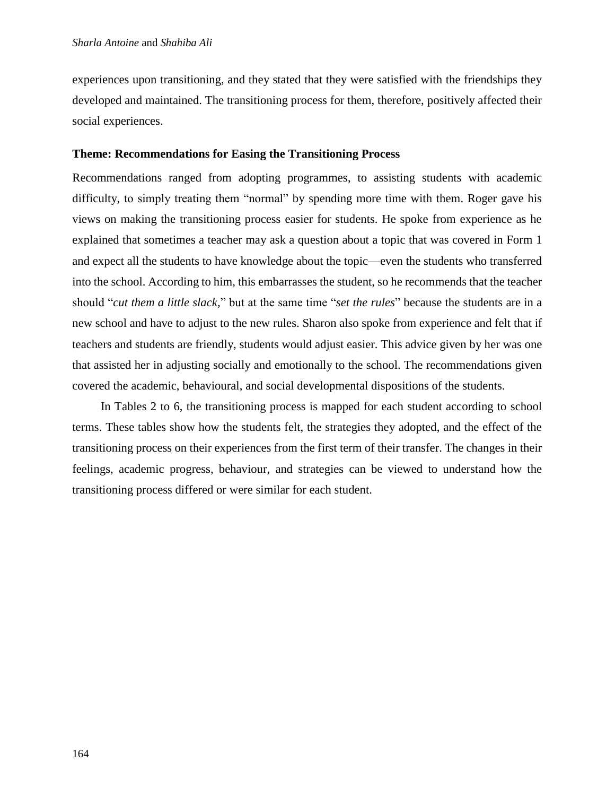experiences upon transitioning, and they stated that they were satisfied with the friendships they developed and maintained. The transitioning process for them, therefore, positively affected their social experiences.

### **Theme: Recommendations for Easing the Transitioning Process**

Recommendations ranged from adopting programmes, to assisting students with academic difficulty, to simply treating them "normal" by spending more time with them. Roger gave his views on making the transitioning process easier for students. He spoke from experience as he explained that sometimes a teacher may ask a question about a topic that was covered in Form 1 and expect all the students to have knowledge about the topic—even the students who transferred into the school. According to him, this embarrasses the student, so he recommends that the teacher should "*cut them a little slack,*" but at the same time "*set the rules*" because the students are in a new school and have to adjust to the new rules. Sharon also spoke from experience and felt that if teachers and students are friendly, students would adjust easier. This advice given by her was one that assisted her in adjusting socially and emotionally to the school. The recommendations given covered the academic, behavioural, and social developmental dispositions of the students.

In Tables 2 to 6, the transitioning process is mapped for each student according to school terms. These tables show how the students felt, the strategies they adopted, and the effect of the transitioning process on their experiences from the first term of their transfer. The changes in their feelings, academic progress, behaviour, and strategies can be viewed to understand how the transitioning process differed or were similar for each student.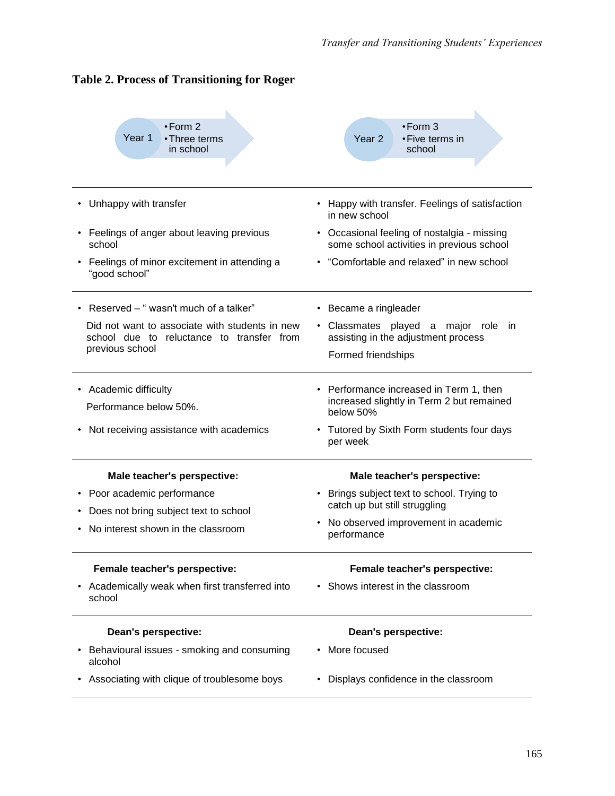| $\cdot$ Form 2<br>Year 1<br>• Three terms<br>in school                                      | $\cdot$ Form 3<br>Year <sub>2</sub><br>• Five terms in<br>school                                  |  |  |  |  |
|---------------------------------------------------------------------------------------------|---------------------------------------------------------------------------------------------------|--|--|--|--|
| Unhappy with transfer                                                                       | • Happy with transfer. Feelings of satisfaction<br>in new school                                  |  |  |  |  |
| Feelings of anger about leaving previous<br>school                                          | • Occasional feeling of nostalgia - missing<br>some school activities in previous school          |  |  |  |  |
| Feelings of minor excitement in attending a<br>"good school"                                | "Comfortable and relaxed" in new school                                                           |  |  |  |  |
| • Reserved - "wasn't much of a talker"                                                      | • Became a ringleader                                                                             |  |  |  |  |
| Did not want to associate with students in new<br>school due to reluctance to transfer from | · Classmates played a major role<br>-in<br>assisting in the adjustment process                    |  |  |  |  |
| previous school                                                                             | Formed friendships                                                                                |  |  |  |  |
| • Academic difficulty<br>Performance below 50%.                                             | • Performance increased in Term 1, then<br>increased slightly in Term 2 but remained<br>below 50% |  |  |  |  |
| Not receiving assistance with academics                                                     | • Tutored by Sixth Form students four days<br>per week                                            |  |  |  |  |
| Male teacher's perspective:                                                                 | Male teacher's perspective:                                                                       |  |  |  |  |
| Poor academic performance                                                                   | • Brings subject text to school. Trying to<br>catch up but still struggling                       |  |  |  |  |
| Does not bring subject text to school<br>No interest shown in the classroom                 | No observed improvement in academic<br>performance                                                |  |  |  |  |
| Female teacher's perspective:                                                               | Female teacher's perspective:                                                                     |  |  |  |  |
| Academically weak when first transferred into<br>school                                     | • Shows interest in the classroom                                                                 |  |  |  |  |
| Dean's perspective:                                                                         | Dean's perspective:                                                                               |  |  |  |  |
| Behavioural issues - smoking and consuming<br>alcohol                                       | More focused                                                                                      |  |  |  |  |
| Associating with clique of troublesome boys                                                 | Displays confidence in the classroom                                                              |  |  |  |  |

# **Table 2. Process of Transitioning for Roger**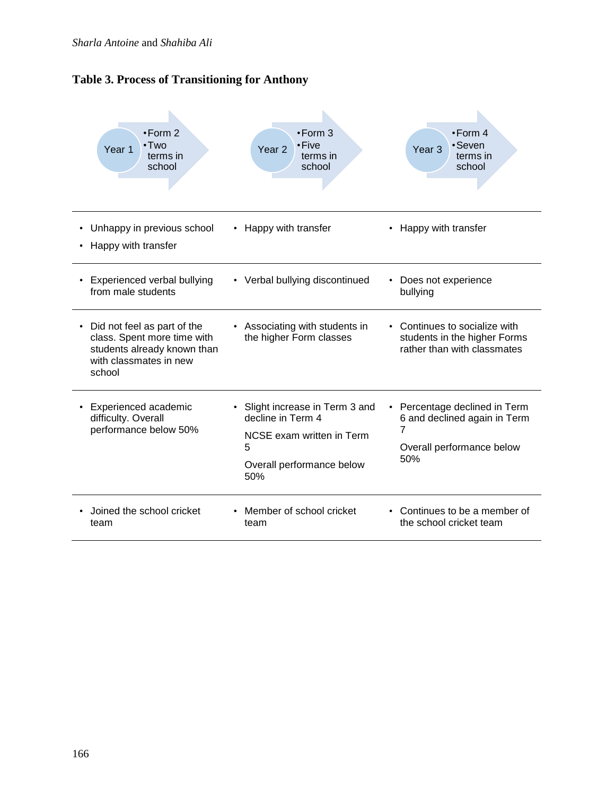

| $\cdot$ Form 2<br>$\cdot$ Two<br>Year 1<br>terms in<br>school                                                                      | $\cdot$ Form 3<br>• Five<br>Year <sub>2</sub><br>terms in<br>school                                                      | $\cdot$ Form 4<br>•Seven<br>Year <sub>3</sub><br>terms in<br>school                                    |
|------------------------------------------------------------------------------------------------------------------------------------|--------------------------------------------------------------------------------------------------------------------------|--------------------------------------------------------------------------------------------------------|
| Unhappy in previous school<br>Happy with transfer                                                                                  | Happy with transfer                                                                                                      | Happy with transfer                                                                                    |
| <b>Experienced verbal bullying</b><br>٠<br>from male students                                                                      | • Verbal bullying discontinued                                                                                           | Does not experience<br>bullying                                                                        |
| Did not feel as part of the<br>٠<br>class. Spent more time with<br>students already known than<br>with classmates in new<br>school | Associating with students in<br>the higher Form classes                                                                  | Continues to socialize with<br>students in the higher Forms<br>rather than with classmates             |
| Experienced academic<br>$\bullet$<br>difficulty. Overall<br>performance below 50%                                                  | Slight increase in Term 3 and<br>decline in Term 4<br>NCSE exam written in Term<br>5<br>Overall performance below<br>50% | • Percentage declined in Term<br>6 and declined again in Term<br>7<br>Overall performance below<br>50% |
| Joined the school cricket<br>team                                                                                                  | Member of school cricket<br>team                                                                                         | Continues to be a member of<br>the school cricket team                                                 |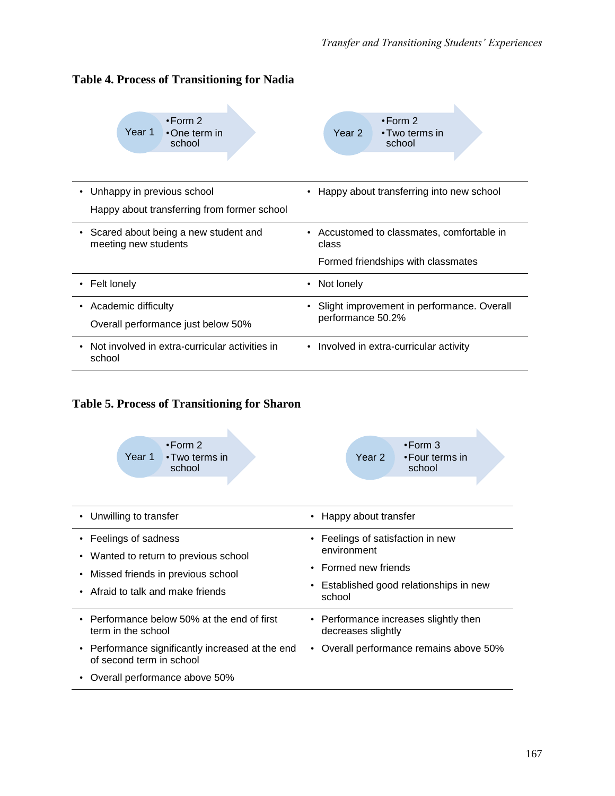

# **Table 4. Process of Transitioning for Nadia**

# **Table 5. Process of Transitioning for Sharon**

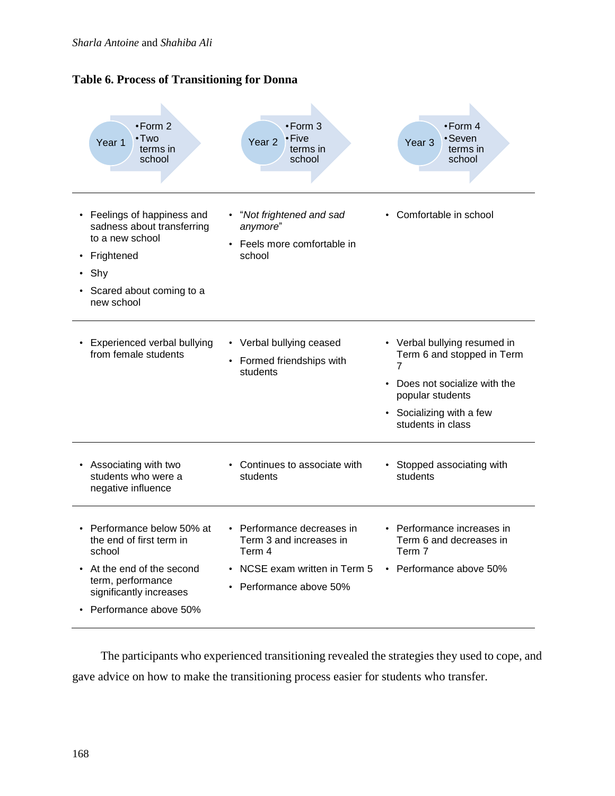



The participants who experienced transitioning revealed the strategies they used to cope, and gave advice on how to make the transitioning process easier for students who transfer.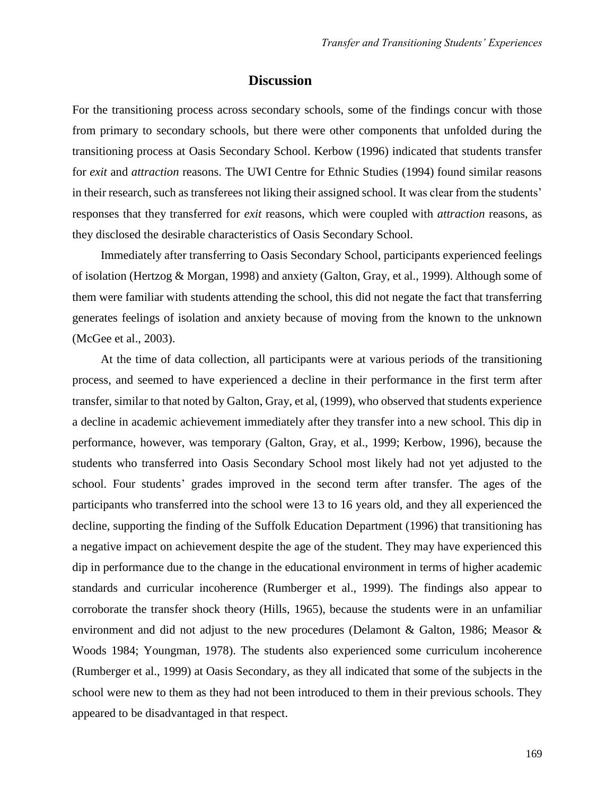# **Discussion**

For the transitioning process across secondary schools, some of the findings concur with those from primary to secondary schools, but there were other components that unfolded during the transitioning process at Oasis Secondary School. Kerbow (1996) indicated that students transfer for *exit* and *attraction* reasons. The UWI Centre for Ethnic Studies (1994) found similar reasons in their research, such as transferees not liking their assigned school. It was clear from the students' responses that they transferred for *exit* reasons, which were coupled with *attraction* reasons, as they disclosed the desirable characteristics of Oasis Secondary School.

Immediately after transferring to Oasis Secondary School, participants experienced feelings of isolation (Hertzog & Morgan, 1998) and anxiety (Galton, Gray, et al., 1999). Although some of them were familiar with students attending the school, this did not negate the fact that transferring generates feelings of isolation and anxiety because of moving from the known to the unknown (McGee et al., 2003).

At the time of data collection, all participants were at various periods of the transitioning process, and seemed to have experienced a decline in their performance in the first term after transfer, similar to that noted by Galton, Gray, et al, (1999), who observed that students experience a decline in academic achievement immediately after they transfer into a new school. This dip in performance, however, was temporary (Galton, Gray, et al., 1999; Kerbow, 1996), because the students who transferred into Oasis Secondary School most likely had not yet adjusted to the school. Four students' grades improved in the second term after transfer. The ages of the participants who transferred into the school were 13 to 16 years old, and they all experienced the decline, supporting the finding of the Suffolk Education Department (1996) that transitioning has a negative impact on achievement despite the age of the student. They may have experienced this dip in performance due to the change in the educational environment in terms of higher academic standards and curricular incoherence (Rumberger et al., 1999). The findings also appear to corroborate the transfer shock theory (Hills, 1965), because the students were in an unfamiliar environment and did not adjust to the new procedures (Delamont & Galton, 1986; Measor & Woods 1984; Youngman, 1978). The students also experienced some curriculum incoherence (Rumberger et al., 1999) at Oasis Secondary, as they all indicated that some of the subjects in the school were new to them as they had not been introduced to them in their previous schools. They appeared to be disadvantaged in that respect.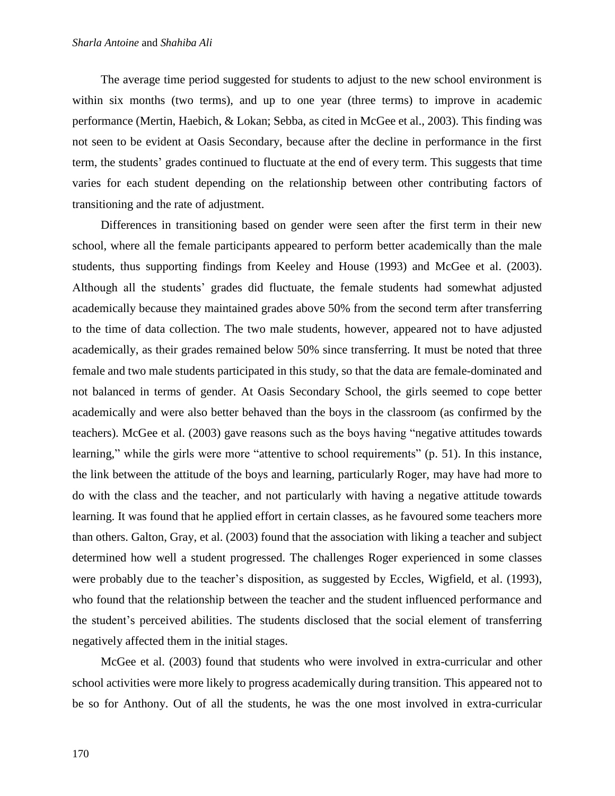The average time period suggested for students to adjust to the new school environment is within six months (two terms), and up to one year (three terms) to improve in academic performance (Mertin, Haebich, & Lokan; Sebba, as cited in McGee et al., 2003). This finding was not seen to be evident at Oasis Secondary, because after the decline in performance in the first term, the students' grades continued to fluctuate at the end of every term. This suggests that time varies for each student depending on the relationship between other contributing factors of transitioning and the rate of adjustment.

Differences in transitioning based on gender were seen after the first term in their new school, where all the female participants appeared to perform better academically than the male students, thus supporting findings from Keeley and House (1993) and McGee et al. (2003). Although all the students' grades did fluctuate, the female students had somewhat adjusted academically because they maintained grades above 50% from the second term after transferring to the time of data collection. The two male students, however, appeared not to have adjusted academically, as their grades remained below 50% since transferring. It must be noted that three female and two male students participated in this study, so that the data are female-dominated and not balanced in terms of gender. At Oasis Secondary School, the girls seemed to cope better academically and were also better behaved than the boys in the classroom (as confirmed by the teachers). McGee et al. (2003) gave reasons such as the boys having "negative attitudes towards learning," while the girls were more "attentive to school requirements" (p. 51). In this instance, the link between the attitude of the boys and learning, particularly Roger, may have had more to do with the class and the teacher, and not particularly with having a negative attitude towards learning. It was found that he applied effort in certain classes, as he favoured some teachers more than others. Galton, Gray, et al. (2003) found that the association with liking a teacher and subject determined how well a student progressed. The challenges Roger experienced in some classes were probably due to the teacher's disposition, as suggested by Eccles, Wigfield, et al. (1993), who found that the relationship between the teacher and the student influenced performance and the student's perceived abilities. The students disclosed that the social element of transferring negatively affected them in the initial stages.

McGee et al. (2003) found that students who were involved in extra-curricular and other school activities were more likely to progress academically during transition. This appeared not to be so for Anthony. Out of all the students, he was the one most involved in extra-curricular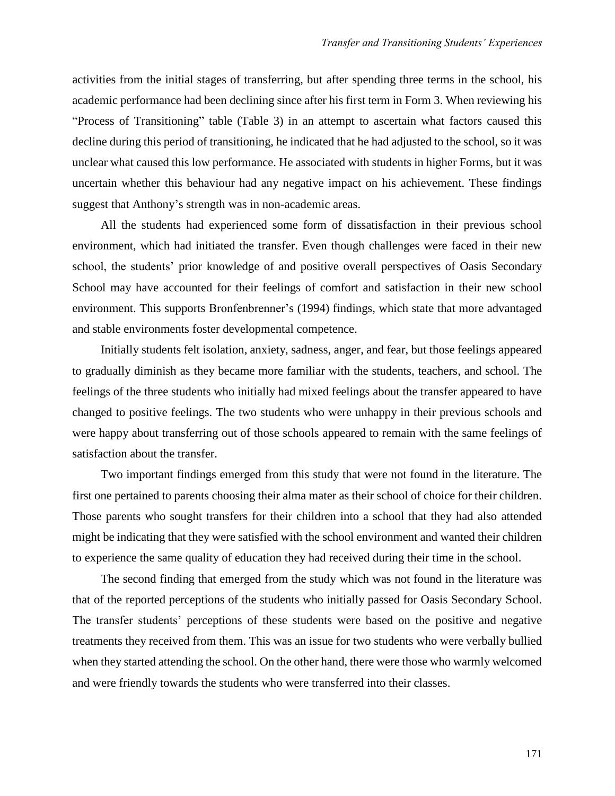activities from the initial stages of transferring, but after spending three terms in the school, his academic performance had been declining since after his first term in Form 3. When reviewing his "Process of Transitioning" table (Table 3) in an attempt to ascertain what factors caused this decline during this period of transitioning, he indicated that he had adjusted to the school, so it was unclear what caused this low performance. He associated with students in higher Forms, but it was uncertain whether this behaviour had any negative impact on his achievement. These findings suggest that Anthony's strength was in non-academic areas.

All the students had experienced some form of dissatisfaction in their previous school environment, which had initiated the transfer. Even though challenges were faced in their new school, the students' prior knowledge of and positive overall perspectives of Oasis Secondary School may have accounted for their feelings of comfort and satisfaction in their new school environment. This supports Bronfenbrenner's (1994) findings, which state that more advantaged and stable environments foster developmental competence.

Initially students felt isolation, anxiety, sadness, anger, and fear, but those feelings appeared to gradually diminish as they became more familiar with the students, teachers, and school. The feelings of the three students who initially had mixed feelings about the transfer appeared to have changed to positive feelings. The two students who were unhappy in their previous schools and were happy about transferring out of those schools appeared to remain with the same feelings of satisfaction about the transfer.

Two important findings emerged from this study that were not found in the literature. The first one pertained to parents choosing their alma mater as their school of choice for their children. Those parents who sought transfers for their children into a school that they had also attended might be indicating that they were satisfied with the school environment and wanted their children to experience the same quality of education they had received during their time in the school.

The second finding that emerged from the study which was not found in the literature was that of the reported perceptions of the students who initially passed for Oasis Secondary School. The transfer students' perceptions of these students were based on the positive and negative treatments they received from them. This was an issue for two students who were verbally bullied when they started attending the school. On the other hand, there were those who warmly welcomed and were friendly towards the students who were transferred into their classes.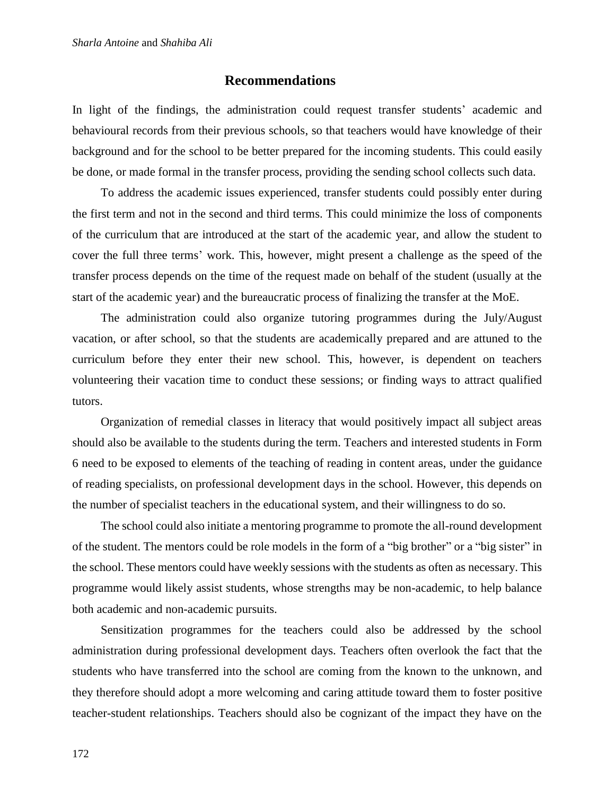## **Recommendations**

In light of the findings, the administration could request transfer students' academic and behavioural records from their previous schools, so that teachers would have knowledge of their background and for the school to be better prepared for the incoming students. This could easily be done, or made formal in the transfer process, providing the sending school collects such data.

To address the academic issues experienced, transfer students could possibly enter during the first term and not in the second and third terms. This could minimize the loss of components of the curriculum that are introduced at the start of the academic year, and allow the student to cover the full three terms' work. This, however, might present a challenge as the speed of the transfer process depends on the time of the request made on behalf of the student (usually at the start of the academic year) and the bureaucratic process of finalizing the transfer at the MoE.

The administration could also organize tutoring programmes during the July/August vacation, or after school, so that the students are academically prepared and are attuned to the curriculum before they enter their new school. This, however, is dependent on teachers volunteering their vacation time to conduct these sessions; or finding ways to attract qualified tutors.

Organization of remedial classes in literacy that would positively impact all subject areas should also be available to the students during the term. Teachers and interested students in Form 6 need to be exposed to elements of the teaching of reading in content areas, under the guidance of reading specialists, on professional development days in the school. However, this depends on the number of specialist teachers in the educational system, and their willingness to do so.

The school could also initiate a mentoring programme to promote the all-round development of the student. The mentors could be role models in the form of a "big brother" or a "big sister" in the school. These mentors could have weekly sessions with the students as often as necessary. This programme would likely assist students, whose strengths may be non-academic, to help balance both academic and non-academic pursuits.

Sensitization programmes for the teachers could also be addressed by the school administration during professional development days. Teachers often overlook the fact that the students who have transferred into the school are coming from the known to the unknown, and they therefore should adopt a more welcoming and caring attitude toward them to foster positive teacher-student relationships. Teachers should also be cognizant of the impact they have on the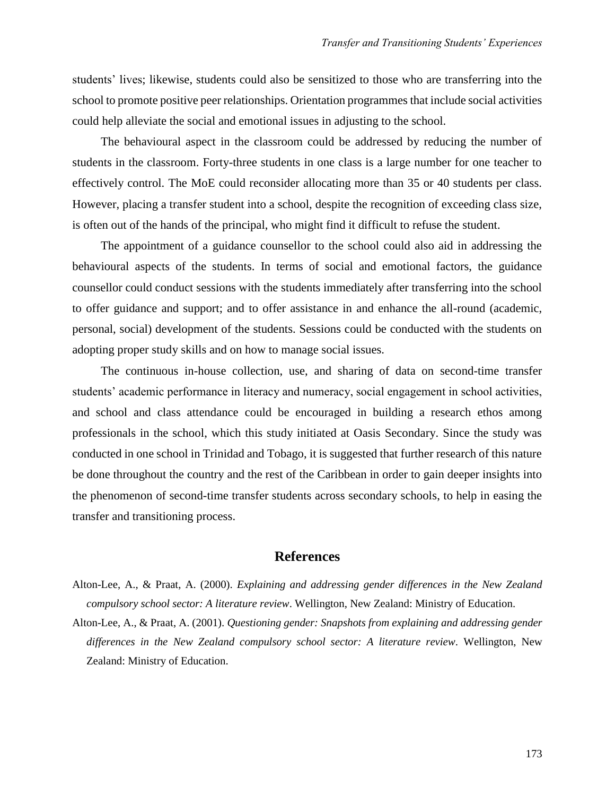students' lives; likewise, students could also be sensitized to those who are transferring into the school to promote positive peer relationships. Orientation programmes that include social activities could help alleviate the social and emotional issues in adjusting to the school.

The behavioural aspect in the classroom could be addressed by reducing the number of students in the classroom. Forty-three students in one class is a large number for one teacher to effectively control. The MoE could reconsider allocating more than 35 or 40 students per class. However, placing a transfer student into a school, despite the recognition of exceeding class size, is often out of the hands of the principal, who might find it difficult to refuse the student.

The appointment of a guidance counsellor to the school could also aid in addressing the behavioural aspects of the students. In terms of social and emotional factors, the guidance counsellor could conduct sessions with the students immediately after transferring into the school to offer guidance and support; and to offer assistance in and enhance the all-round (academic, personal, social) development of the students. Sessions could be conducted with the students on adopting proper study skills and on how to manage social issues.

The continuous in-house collection, use, and sharing of data on second-time transfer students' academic performance in literacy and numeracy, social engagement in school activities, and school and class attendance could be encouraged in building a research ethos among professionals in the school, which this study initiated at Oasis Secondary. Since the study was conducted in one school in Trinidad and Tobago, it is suggested that further research of this nature be done throughout the country and the rest of the Caribbean in order to gain deeper insights into the phenomenon of second-time transfer students across secondary schools, to help in easing the transfer and transitioning process.

## **References**

- Alton-Lee, A., & Praat, A. (2000). *Explaining and addressing gender differences in the New Zealand compulsory school sector: A literature review*. Wellington, New Zealand: Ministry of Education.
- Alton-Lee, A., & Praat, A. (2001). *Questioning gender: Snapshots from explaining and addressing gender differences in the New Zealand compulsory school sector: A literature review*. Wellington, New Zealand: Ministry of Education.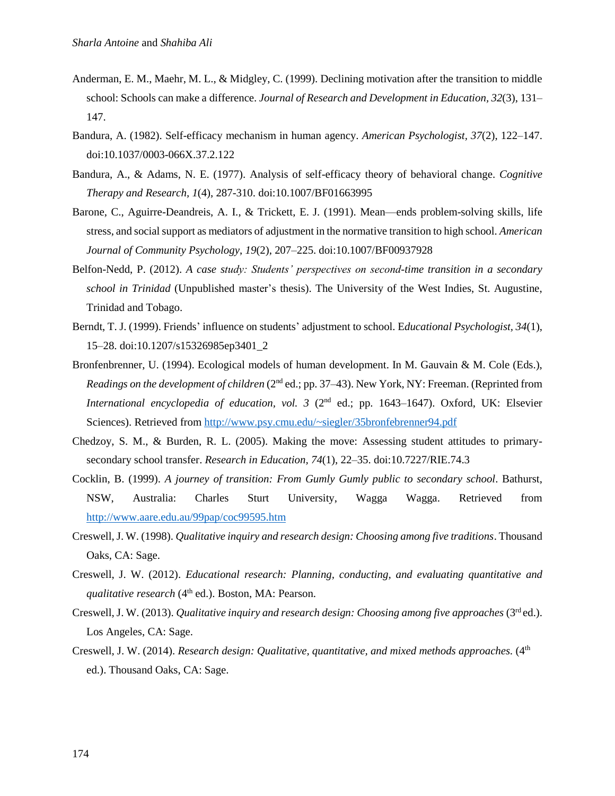- Anderman, E. M., Maehr, M. L., & Midgley, C. (1999). Declining motivation after the transition to middle school: Schools can make a difference. *Journal of Research and Development in Education, 32*(3), 131– 147.
- Bandura, A. (1982). Self-efficacy mechanism in human agency. *American Psychologist, 37*(2), 122–147. doi:10.1037/0003-066X.37.2.122
- Bandura, A., & Adams, N. E. (1977). Analysis of self-efficacy theory of behavioral change. *Cognitive Therapy and Research, 1*(4), 287-310. doi:10.1007/BF01663995
- Barone, C., Aguirre-Deandreis, A. I., & Trickett, E. J. (1991). Mean—ends problem-solving skills, life stress, and social support as mediators of adjustment in the normative transition to high school. *American Journal of Community Psychology*, *19*(2), 207–225. doi:10.1007/BF00937928
- Belfon-Nedd, P. (2012). *A case study: Students' perspectives on second-time transition in a secondary school in Trinidad* (Unpublished master's thesis). The University of the West Indies, St. Augustine, Trinidad and Tobago.
- Berndt, T. J. (1999). Friends' influence on students' adjustment to school. E*ducational Psychologist, 34*(1), 15–28. doi:10.1207/s15326985ep3401\_2
- Bronfenbrenner, U. (1994). Ecological models of human development. In M. Gauvain & M. Cole (Eds.), *Readings on the development of children* (2<sup>nd</sup> ed.; pp. 37–43). New York, NY: Freeman. (Reprinted from *International encyclopedia of education, vol. 3 (2<sup>nd</sup> ed.; pp. 1643–1647). Oxford, UK: Elsevier* Sciences). Retrieved from<http://www.psy.cmu.edu/~siegler/35bronfebrenner94.pdf>
- Chedzoy, S. M., & Burden, R. L. (2005). Making the move: Assessing student attitudes to primarysecondary school transfer. *Research in Education, 74*(1), 22–35. doi:10.7227/RIE.74.3
- Cocklin, B. (1999). *A journey of transition: From Gumly Gumly public to secondary school*. Bathurst, NSW, Australia: Charles Sturt University, Wagga Wagga. Retrieved from <http://www.aare.edu.au/99pap/coc99595.htm>
- Creswell, J. W. (1998). *Qualitative inquiry and research design: Choosing among five traditions*. Thousand Oaks, CA: Sage.
- Creswell, J. W. (2012). *Educational research: Planning, conducting, and evaluating quantitative and qualitative research* (4<sup>th</sup> ed.). Boston, MA: Pearson.
- Creswell, J. W. (2013). *Qualitative inquiry and research design: Choosing among five approaches* (3rd ed.). Los Angeles, CA: Sage.
- Creswell, J. W. (2014). *Research design: Qualitative, quantitative, and mixed methods approaches.* (4th ed.). Thousand Oaks, CA: Sage.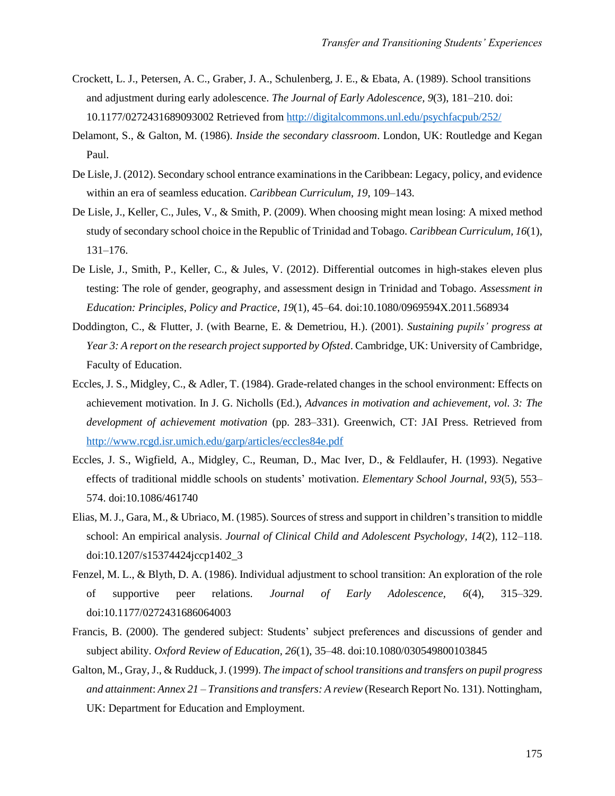- Crockett, L. J., Petersen, A. C., Graber, J. A., Schulenberg, J. E., & Ebata, A. (1989). School transitions and adjustment during early adolescence. *The Journal of Early Adolescence, 9*(3), 181–210. doi: 10.1177/0272431689093002 Retrieved from<http://digitalcommons.unl.edu/psychfacpub/252/>
- Delamont, S., & Galton, M. (1986). *Inside the secondary classroom*. London, UK: Routledge and Kegan Paul.
- De Lisle, J. (2012). Secondary school entrance examinations in the Caribbean: Legacy, policy, and evidence within an era of seamless education. *Caribbean Curriculum*, *19*, 109–143.
- De Lisle, J., Keller, C., Jules, V., & Smith, P. (2009). When choosing might mean losing: A mixed method study of secondary school choice in the Republic of Trinidad and Tobago. *Caribbean Curriculum, 16*(1), 131–176.
- De Lisle, J., Smith, P., Keller, C., & Jules, V. (2012). Differential outcomes in high-stakes eleven plus testing: The role of gender, geography, and assessment design in Trinidad and Tobago. *Assessment in Education: Principles, Policy and Practice*, *19*(1), 45–64. doi:10.1080/0969594X.2011.568934
- Doddington, C., & Flutter, J. (with Bearne, E. & Demetriou, H.). (2001). *Sustaining pupils' progress at Year 3: A report on the research project supported by Ofsted*. Cambridge, UK: University of Cambridge, Faculty of Education.
- Eccles, J. S., Midgley, C., & Adler, T. (1984). Grade-related changes in the school environment: Effects on achievement motivation. In J. G. Nicholls (Ed.), *Advances in motivation and achievement, vol. 3: The development of achievement motivation* (pp. 283–331). Greenwich, CT: JAI Press. Retrieved from <http://www.rcgd.isr.umich.edu/garp/articles/eccles84e.pdf>
- Eccles, J. S., Wigfield, A., Midgley, C., Reuman, D., Mac Iver, D., & Feldlaufer, H. (1993). Negative effects of traditional middle schools on students' motivation. *Elementary School Journal, 93*(5), 553– 574. doi:10.1086/461740
- Elias, M. J., Gara, M., & Ubriaco, M. (1985). Sources of stress and support in children's transition to middle school: An empirical analysis. *Journal of Clinical Child and Adolescent Psychology, 14*(2), 112–118. doi:10.1207/s15374424jccp1402\_3
- Fenzel, M. L., & Blyth, D. A. (1986). Individual adjustment to school transition: An exploration of the role of supportive peer relations. *Journal of Early Adolescence, 6*(4), 315–329. doi:10.1177/0272431686064003
- Francis, B. (2000). The gendered subject: Students' subject preferences and discussions of gender and subject ability. *Oxford Review of Education, 26*(1), 35–48. doi:10.1080/030549800103845
- Galton, M., Gray, J., & Rudduck, J. (1999). *The impact of school transitions and transfers on pupil progress and attainment*: *Annex 21 – Transitions and transfers: A review* (Research Report No. 131). Nottingham, UK: Department for Education and Employment.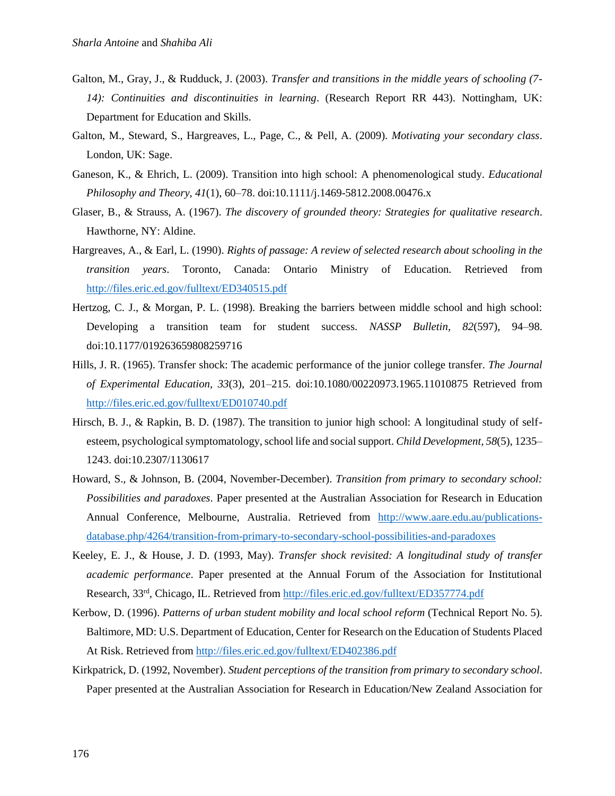- Galton, M., Gray, J., & Rudduck, J. (2003). *Transfer and transitions in the middle years of schooling (7- 14): Continuities and discontinuities in learning*. (Research Report RR 443). Nottingham, UK: Department for Education and Skills.
- Galton, M., Steward, S., Hargreaves, L., Page, C., & Pell, A. (2009). *Motivating your secondary class*. London, UK: Sage.
- Ganeson, K., & Ehrich, L. (2009). Transition into high school: A phenomenological study. *Educational Philosophy and Theory, 41*(1), 60–78. doi:10.1111/j.1469-5812.2008.00476.x
- Glaser, B., & Strauss, A. (1967). *The discovery of grounded theory: Strategies for qualitative research*. Hawthorne, NY: Aldine.
- Hargreaves, A., & Earl, L. (1990). *Rights of passage: A review of selected research about schooling in the transition years*. Toronto, Canada: Ontario Ministry of Education. Retrieved from <http://files.eric.ed.gov/fulltext/ED340515.pdf>
- Hertzog, C. J., & Morgan, P. L. (1998). Breaking the barriers between middle school and high school: Developing a transition team for student success. *NASSP Bulletin, 82*(597), 94–98. doi:10.1177/019263659808259716
- Hills, J. R. (1965). Transfer shock: The academic performance of the junior college transfer. *The Journal of Experimental Education, 33*(3), 201–215. doi:10.1080/00220973.1965.11010875 Retrieved from <http://files.eric.ed.gov/fulltext/ED010740.pdf>
- Hirsch, B. J., & Rapkin, B. D. (1987). The transition to junior high school: A longitudinal study of selfesteem, psychological symptomatology, school life and social support. *Child Development, 58*(5), 1235– 1243. doi:10.2307/1130617
- Howard, S., & Johnson, B. (2004, November-December). *Transition from primary to secondary school: Possibilities and paradoxes*. Paper presented at the Australian Association for Research in Education Annual Conference, Melbourne, Australia. Retrieved from [http://www.aare.edu.au/publications](http://www.aare.edu.au/publications-database.php/4264/transition-from-primary-to-secondary-school-possibilities-and-paradoxes)[database.php/4264/transition-from-primary-to-secondary-school-possibilities-and-paradoxes](http://www.aare.edu.au/publications-database.php/4264/transition-from-primary-to-secondary-school-possibilities-and-paradoxes)
- Keeley, E. J., & House, J. D. (1993, May). *Transfer shock revisited: A longitudinal study of transfer academic performance*. Paper presented at the Annual Forum of the Association for Institutional Research, 33<sup>rd</sup>, Chicago, IL. Retrieved from<http://files.eric.ed.gov/fulltext/ED357774.pdf>
- Kerbow, D. (1996). *Patterns of urban student mobility and local school reform* (Technical Report No. 5). Baltimore, MD: U.S. Department of Education, Center for Research on the Education of Students Placed At Risk. Retrieved from<http://files.eric.ed.gov/fulltext/ED402386.pdf>
- Kirkpatrick, D. (1992, November). *Student perceptions of the transition from primary to secondary school*. Paper presented at the Australian Association for Research in Education/New Zealand Association for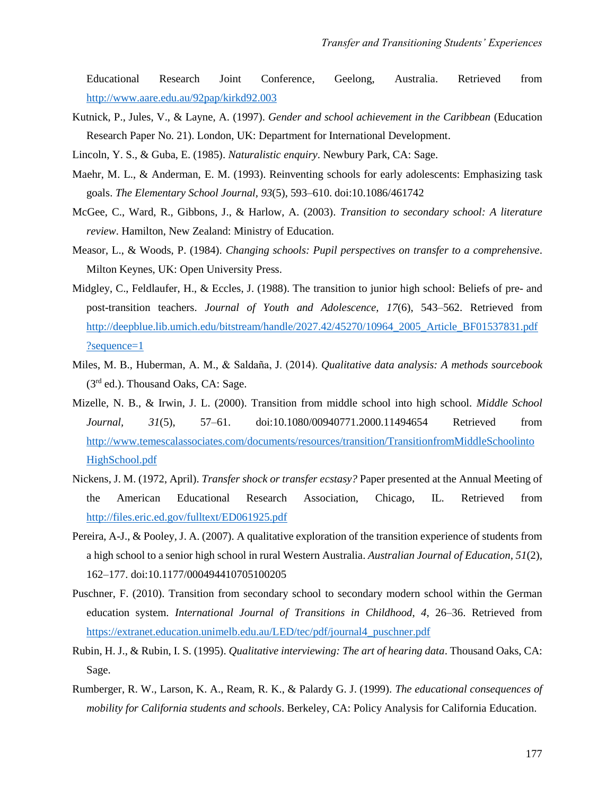Educational Research Joint Conference, Geelong, Australia. Retrieved from <http://www.aare.edu.au/92pap/kirkd92.003>

- Kutnick, P., Jules, V., & Layne, A. (1997). *Gender and school achievement in the Caribbean* (Education Research Paper No. 21). London, UK: Department for International Development.
- Lincoln, Y. S., & Guba, E. (1985). *Naturalistic enquiry*. Newbury Park, CA: Sage.
- Maehr, M. L., & Anderman, E. M. (1993). Reinventing schools for early adolescents: Emphasizing task goals. *The Elementary School Journal, 93*(5), 593–610. doi:10.1086/461742
- McGee, C., Ward, R., Gibbons, J., & Harlow, A. (2003). *Transition to secondary school: A literature review*. Hamilton, New Zealand: Ministry of Education.
- Measor, L., & Woods, P. (1984). *Changing schools: Pupil perspectives on transfer to a comprehensive*. Milton Keynes, UK: Open University Press.
- Midgley, C., Feldlaufer, H., & Eccles, J. (1988). The transition to junior high school: Beliefs of pre- and post-transition teachers. *Journal of Youth and Adolescence, 17*(6), 543–562. Retrieved from [http://deepblue.lib.umich.edu/bitstream/handle/2027.42/45270/10964\\_2005\\_Article\\_BF01537831.pdf](http://deepblue.lib.umich.edu/bitstream/handle/2027.42/45270/10964_2005_Article_BF01537831.pdf?sequence=1) [?sequence=1](http://deepblue.lib.umich.edu/bitstream/handle/2027.42/45270/10964_2005_Article_BF01537831.pdf?sequence=1)
- Miles, M. B., Huberman, A. M., & Saldaña, J. (2014). *Qualitative data analysis: A methods sourcebook* (3rd ed.). Thousand Oaks, CA: Sage.
- Mizelle, N. B., & Irwin, J. L. (2000). Transition from middle school into high school. *Middle School Journal, 31*(5), 57–61. doi:10.1080/00940771.2000.11494654 Retrieved from [http://www.temescalassociates.com/documents/resources/transition/TransitionfromMiddleSchoolinto](http://www.temescalassociates.com/documents/resources/transition/TransitionfromMiddleSchoolintoHighSchool.pdf) [HighSchool.pdf](http://www.temescalassociates.com/documents/resources/transition/TransitionfromMiddleSchoolintoHighSchool.pdf)
- Nickens, J. M. (1972, April). *Transfer shock or transfer ecstasy?* Paper presented at the Annual Meeting of the American Educational Research Association, Chicago, IL*.* Retrieved from <http://files.eric.ed.gov/fulltext/ED061925.pdf>
- Pereira, A-J., & Pooley, J. A. (2007). A qualitative exploration of the transition experience of students from a high school to a senior high school in rural Western Australia. *Australian Journal of Education, 51*(2), 162–177. doi:10.1177/000494410705100205
- Puschner, F. (2010). Transition from secondary school to secondary modern school within the German education system. *International Journal of Transitions in Childhood*, *4*, 26–36. Retrieved from [https://extranet.education.unimelb.edu.au/LED/tec/pdf/journal4\\_puschner.pdf](https://extranet.education.unimelb.edu.au/LED/tec/pdf/journal4_puschner.pdf)
- Rubin, H. J., & Rubin, I. S. (1995). *Qualitative interviewing: The art of hearing data*. Thousand Oaks, CA: Sage.
- Rumberger, R. W., Larson, K. A., Ream, R. K., & Palardy G. J. (1999). *The educational consequences of mobility for California students and schools*. Berkeley, CA: Policy Analysis for California Education.